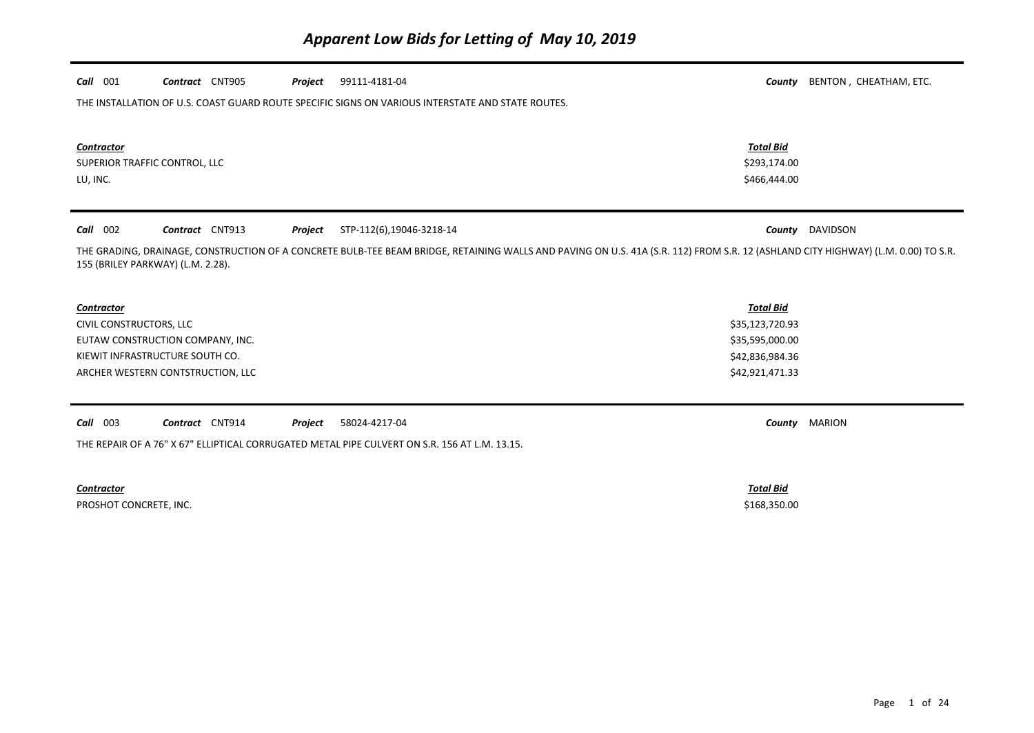| $Call$ 001                        | Contract CNT905                   | Project | 99111-4181-04                                                                                                                                                                     | County           | BENTON, CHEATHAM, ETC. |
|-----------------------------------|-----------------------------------|---------|-----------------------------------------------------------------------------------------------------------------------------------------------------------------------------------|------------------|------------------------|
|                                   |                                   |         | THE INSTALLATION OF U.S. COAST GUARD ROUTE SPECIFIC SIGNS ON VARIOUS INTERSTATE AND STATE ROUTES.                                                                                 |                  |                        |
|                                   |                                   |         |                                                                                                                                                                                   |                  |                        |
| Contractor                        |                                   |         |                                                                                                                                                                                   | <b>Total Bid</b> |                        |
| SUPERIOR TRAFFIC CONTROL, LLC     |                                   |         |                                                                                                                                                                                   | \$293,174.00     |                        |
| LU, INC.                          |                                   |         |                                                                                                                                                                                   | \$466,444.00     |                        |
|                                   |                                   |         |                                                                                                                                                                                   |                  |                        |
| 002<br>Call                       | Contract CNT913                   | Project | STP-112(6),19046-3218-14                                                                                                                                                          | County           | DAVIDSON               |
| 155 (BRILEY PARKWAY) (L.M. 2.28). |                                   |         | THE GRADING, DRAINAGE, CONSTRUCTION OF A CONCRETE BULB-TEE BEAM BRIDGE, RETAINING WALLS AND PAVING ON U.S. 41A (S.R. 112) FROM S.R. 12 (ASHLAND CITY HIGHWAY) (L.M. 0.00) TO S.R. |                  |                        |
|                                   |                                   |         |                                                                                                                                                                                   |                  |                        |
| Contractor                        |                                   |         |                                                                                                                                                                                   | <b>Total Bid</b> |                        |
| CIVIL CONSTRUCTORS, LLC           |                                   |         |                                                                                                                                                                                   | \$35,123,720.93  |                        |
|                                   | EUTAW CONSTRUCTION COMPANY, INC.  |         |                                                                                                                                                                                   | \$35,595,000.00  |                        |
|                                   | KIEWIT INFRASTRUCTURE SOUTH CO.   |         |                                                                                                                                                                                   | \$42,836,984.36  |                        |
|                                   | ARCHER WESTERN CONTSTRUCTION, LLC |         |                                                                                                                                                                                   | \$42,921,471.33  |                        |
|                                   |                                   |         |                                                                                                                                                                                   |                  |                        |
| $Call$ 003                        | Contract CNT914                   | Project | 58024-4217-04                                                                                                                                                                     | County           | <b>MARION</b>          |
|                                   |                                   |         | THE REPAIR OF A 76" X 67" ELLIPTICAL CORRUGATED METAL PIPE CULVERT ON S.R. 156 AT L.M. 13.15.                                                                                     |                  |                        |
|                                   |                                   |         |                                                                                                                                                                                   |                  |                        |
| <b>Contractor</b>                 |                                   |         |                                                                                                                                                                                   | <b>Total Bid</b> |                        |
| PROSHOT CONCRETE, INC.            |                                   |         |                                                                                                                                                                                   | \$168,350.00     |                        |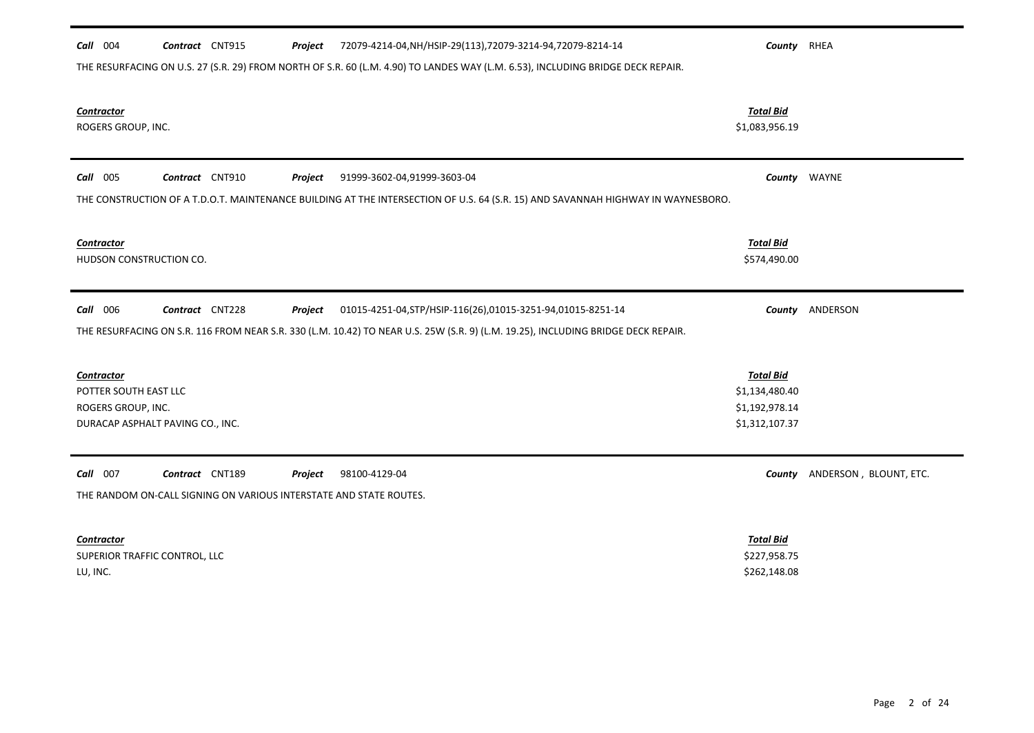| Call 004<br>Contract CNT915<br>72079-4214-04, NH/HSIP-29(113), 72079-3214-94, 72079-8214-14<br>Project<br>THE RESURFACING ON U.S. 27 (S.R. 29) FROM NORTH OF S.R. 60 (L.M. 4.90) TO LANDES WAY (L.M. 6.53), INCLUDING BRIDGE DECK REPAIR. | County RHEA      |                               |
|-------------------------------------------------------------------------------------------------------------------------------------------------------------------------------------------------------------------------------------------|------------------|-------------------------------|
| <b>Contractor</b>                                                                                                                                                                                                                         | <b>Total Bid</b> |                               |
| ROGERS GROUP, INC.                                                                                                                                                                                                                        | \$1,083,956.19   |                               |
| Call 005<br>Contract CNT910<br>91999-3602-04,91999-3603-04<br>Project                                                                                                                                                                     |                  | County WAYNE                  |
| THE CONSTRUCTION OF A T.D.O.T. MAINTENANCE BUILDING AT THE INTERSECTION OF U.S. 64 (S.R. 15) AND SAVANNAH HIGHWAY IN WAYNESBORO.                                                                                                          |                  |                               |
| <b>Contractor</b>                                                                                                                                                                                                                         | <b>Total Bid</b> |                               |
| HUDSON CONSTRUCTION CO.                                                                                                                                                                                                                   | \$574,490.00     |                               |
| Call 006<br>Contract CNT228<br>01015-4251-04, STP/HSIP-116(26), 01015-3251-94, 01015-8251-14<br>Project                                                                                                                                   | County           | ANDERSON                      |
| THE RESURFACING ON S.R. 116 FROM NEAR S.R. 330 (L.M. 10.42) TO NEAR U.S. 25W (S.R. 9) (L.M. 19.25), INCLUDING BRIDGE DECK REPAIR.                                                                                                         |                  |                               |
| <b>Contractor</b>                                                                                                                                                                                                                         | <b>Total Bid</b> |                               |
| POTTER SOUTH EAST LLC                                                                                                                                                                                                                     | \$1,134,480.40   |                               |
| ROGERS GROUP, INC.                                                                                                                                                                                                                        | \$1,192,978.14   |                               |
| DURACAP ASPHALT PAVING CO., INC.                                                                                                                                                                                                          | \$1,312,107.37   |                               |
| Call 007<br>Contract CNT189<br>98100-4129-04<br>Project                                                                                                                                                                                   |                  | County ANDERSON, BLOUNT, ETC. |
| THE RANDOM ON-CALL SIGNING ON VARIOUS INTERSTATE AND STATE ROUTES.                                                                                                                                                                        |                  |                               |
| <b>Contractor</b>                                                                                                                                                                                                                         | <b>Total Bid</b> |                               |
| SUPERIOR TRAFFIC CONTROL, LLC                                                                                                                                                                                                             | \$227,958.75     |                               |
| LU, INC.                                                                                                                                                                                                                                  | \$262,148.08     |                               |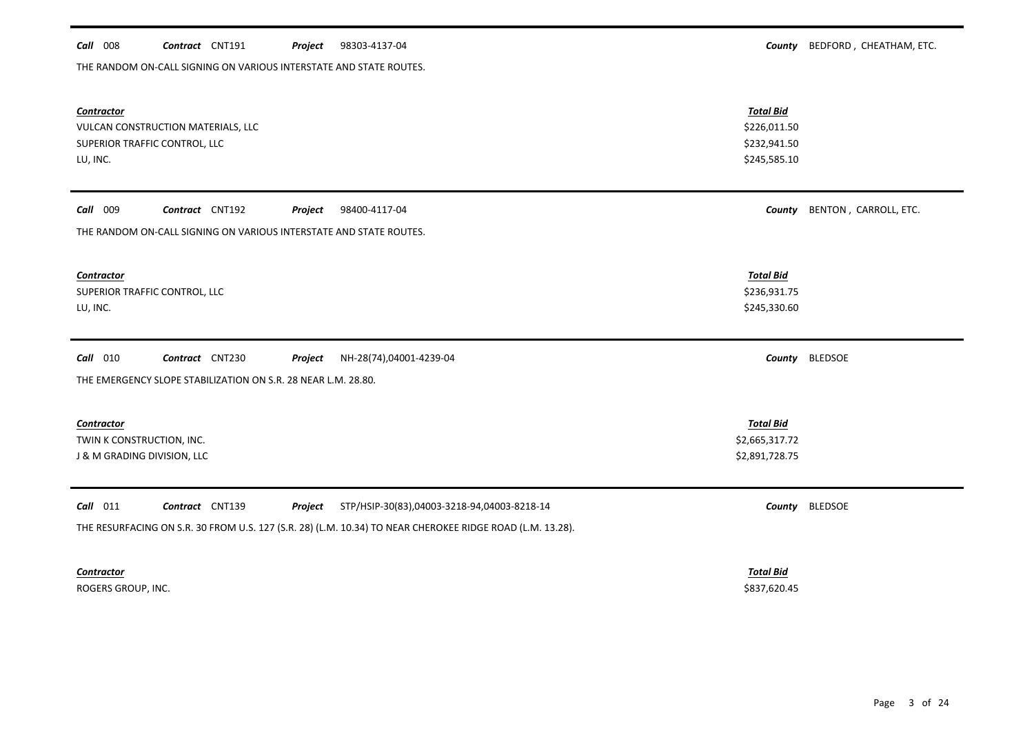| THE RANDOM ON-CALL SIGNING ON VARIOUS INTERSTATE AND STATE ROUTES.                                                                                                                                   |                                                                  |                       |
|------------------------------------------------------------------------------------------------------------------------------------------------------------------------------------------------------|------------------------------------------------------------------|-----------------------|
| <b>Contractor</b><br>VULCAN CONSTRUCTION MATERIALS, LLC<br>SUPERIOR TRAFFIC CONTROL, LLC<br>LU, INC.                                                                                                 | <b>Total Bid</b><br>\$226,011.50<br>\$232,941.50<br>\$245,585.10 |                       |
| Call 009<br>Contract CNT192<br>98400-4117-04<br>Project<br>THE RANDOM ON-CALL SIGNING ON VARIOUS INTERSTATE AND STATE ROUTES.                                                                        | County                                                           | BENTON, CARROLL, ETC. |
| <b>Contractor</b><br>SUPERIOR TRAFFIC CONTROL, LLC<br>LU, INC.                                                                                                                                       | <b>Total Bid</b><br>\$236,931.75<br>\$245,330.60                 |                       |
| Contract CNT230<br>$Call$ 010<br>Project<br>NH-28(74),04001-4239-04<br>THE EMERGENCY SLOPE STABILIZATION ON S.R. 28 NEAR L.M. 28.80.                                                                 | County                                                           | <b>BLEDSOE</b>        |
| <b>Contractor</b><br>TWIN K CONSTRUCTION, INC.<br>J & M GRADING DIVISION, LLC                                                                                                                        | <b>Total Bid</b><br>\$2,665,317.72<br>\$2,891,728.75             |                       |
| $Call$ 011<br>Contract CNT139<br>STP/HSIP-30(83),04003-3218-94,04003-8218-14<br>Project<br>THE RESURFACING ON S.R. 30 FROM U.S. 127 (S.R. 28) (L.M. 10.34) TO NEAR CHEROKEE RIDGE ROAD (L.M. 13.28). | County                                                           | <b>BLEDSOE</b>        |
| <b>Contractor</b>                                                                                                                                                                                    | <b>Total Bid</b>                                                 |                       |

**Call** 008 **Contract** CNT191 **Project** 98303-4137-04 **County County BEDFORD**, CHEATHAM, ETC.

98303-4137-04

ROGERS GROUP, INC. \$837,620.45

Page 3 of 24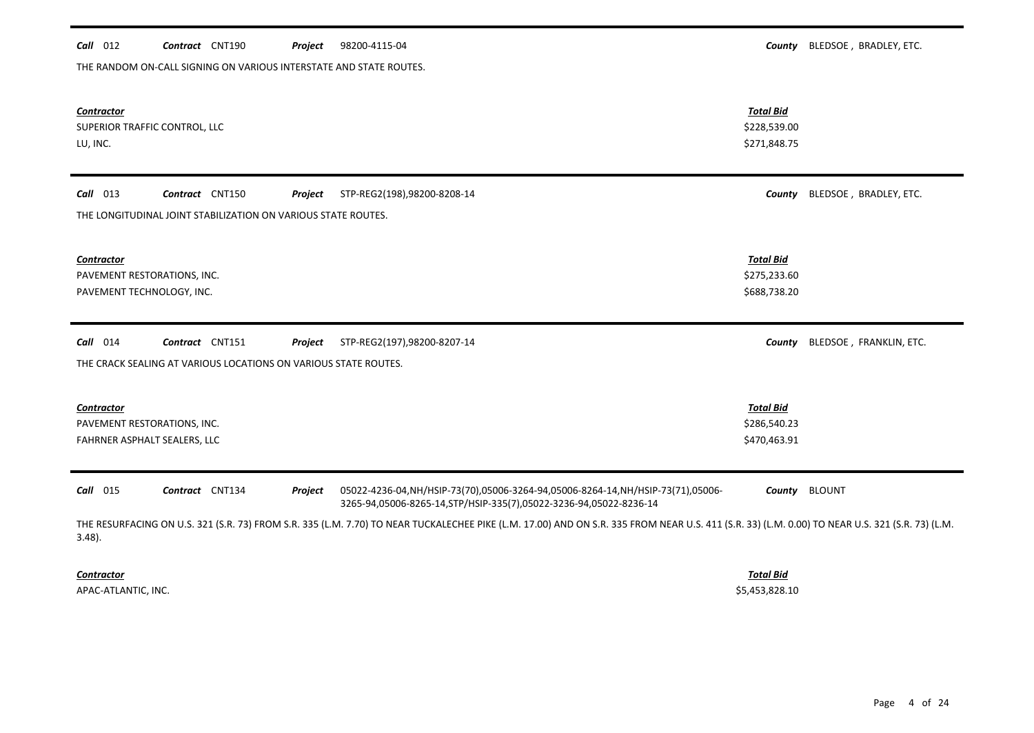| THE RANDOM ON-CALL SIGNING ON VARIOUS INTERSTATE AND STATE ROUTES.                                                                                                                                           |                                                  |                         |  |  |  |  |
|--------------------------------------------------------------------------------------------------------------------------------------------------------------------------------------------------------------|--------------------------------------------------|-------------------------|--|--|--|--|
| <b>Contractor</b><br>SUPERIOR TRAFFIC CONTROL, LLC<br>LU, INC.                                                                                                                                               | <b>Total Bid</b><br>\$228,539.00<br>\$271,848.75 |                         |  |  |  |  |
| $Call$ 013<br>Contract CNT150<br>STP-REG2(198),98200-8208-14<br>Project<br>THE LONGITUDINAL JOINT STABILIZATION ON VARIOUS STATE ROUTES.                                                                     | County                                           | BLEDSOE, BRADLEY, ETC.  |  |  |  |  |
| <b>Contractor</b><br>PAVEMENT RESTORATIONS, INC.<br>PAVEMENT TECHNOLOGY, INC.                                                                                                                                | <b>Total Bid</b><br>\$275,233.60<br>\$688,738.20 |                         |  |  |  |  |
| $Call$ 014<br>Contract CNT151<br>STP-REG2(197),98200-8207-14<br>Project<br>THE CRACK SEALING AT VARIOUS LOCATIONS ON VARIOUS STATE ROUTES.                                                                   | County                                           | BLEDSOE, FRANKLIN, ETC. |  |  |  |  |
| <b>Contractor</b><br>PAVEMENT RESTORATIONS, INC.<br>FAHRNER ASPHALT SEALERS, LLC                                                                                                                             | <b>Total Bid</b><br>\$286,540.23<br>\$470,463.91 |                         |  |  |  |  |
| Call 015<br>Contract CNT134<br>05022-4236-04,NH/HSIP-73(70),05006-3264-94,05006-8264-14,NH/HSIP-73(71),05006-<br>Project<br>3265-94,05006-8265-14,STP/HSIP-335(7),05022-3236-94,05022-8236-14                | County                                           | <b>BLOUNT</b>           |  |  |  |  |
| THE RESURFACING ON U.S. 321 (S.R. 73) FROM S.R. 335 (L.M. 7.70) TO NEAR TUCKALECHEE PIKE (L.M. 17.00) AND ON S.R. 335 FROM NEAR U.S. 411 (S.R. 33) (L.M. 0.00) TO NEAR U.S. 321 (S.R. 73) (L.M.<br>$3.48$ ). |                                                  |                         |  |  |  |  |
| <b>Contractor</b>                                                                                                                                                                                            | <b>Total Bid</b>                                 |                         |  |  |  |  |

*Call* 012 *Contract* CNT190 *Project County* BLEDSOE , BRADLEY, ETC.

Project 98200-4115-04

APAC-ATLANTIC, INC. \$5,453,828.10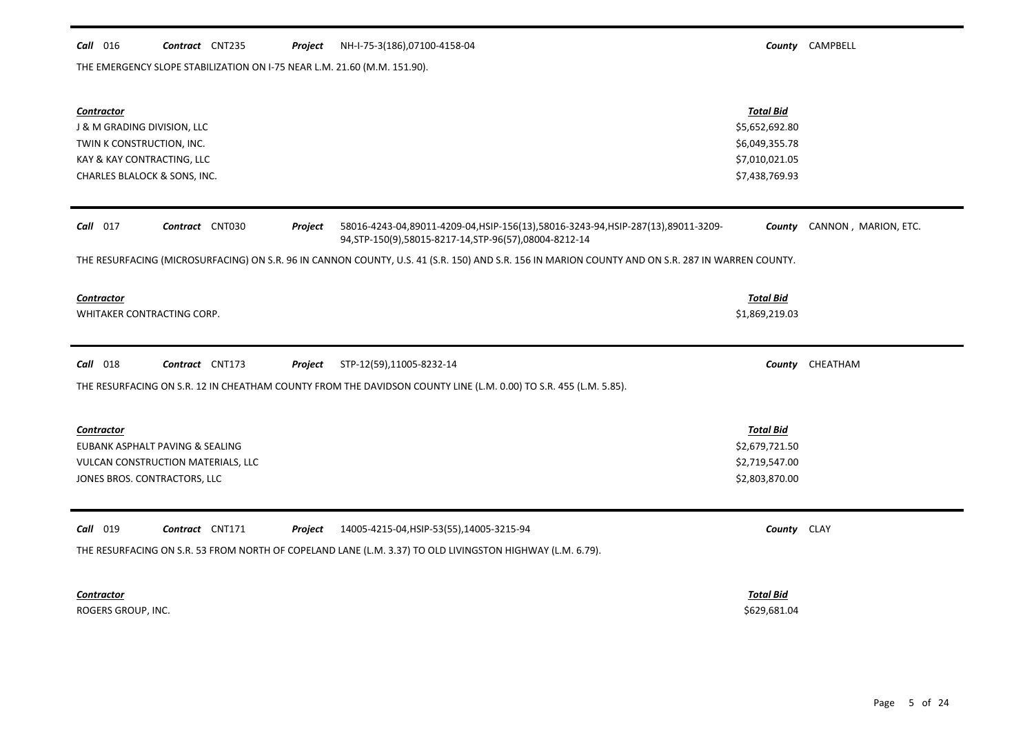#### *Call* 016 *Contract* CNT235 *Project County* CAMPBELL NH-I-75-3(186),07100-4158-04

THE EMERGENCY SLOPE STABILIZATION ON I-75 NEAR L.M. 21.60 (M.M. 151.90).

| <b>Contractor</b><br>J & M GRADING DIVISION, LLC<br>TWIN K CONSTRUCTION, INC.<br>KAY & KAY CONTRACTING, LLC<br>CHARLES BLALOCK & SONS, INC.                                             | <b>Total Bid</b><br>\$5,652,692.80<br>\$6,049,355.78<br>\$7,010,021.05<br>\$7,438,769.93 |                      |  |  |  |
|-----------------------------------------------------------------------------------------------------------------------------------------------------------------------------------------|------------------------------------------------------------------------------------------|----------------------|--|--|--|
| $Call$ 017<br>Contract CNT030<br>58016-4243-04,89011-4209-04,HSIP-156(13),58016-3243-94,HSIP-287(13),89011-3209-<br>Project<br>94, STP-150(9), 58015-8217-14, STP-96(57), 08004-8212-14 | County                                                                                   | CANNON, MARION, ETC. |  |  |  |
| THE RESURFACING (MICROSURFACING) ON S.R. 96 IN CANNON COUNTY, U.S. 41 (S.R. 150) AND S.R. 156 IN MARION COUNTY AND ON S.R. 287 IN WARREN COUNTY.                                        |                                                                                          |                      |  |  |  |
| <b>Contractor</b><br>WHITAKER CONTRACTING CORP.                                                                                                                                         | <b>Total Bid</b><br>\$1,869,219.03                                                       |                      |  |  |  |
| $Call$ 018<br>Contract CNT173<br>Project<br>STP-12(59),11005-8232-14                                                                                                                    |                                                                                          | County CHEATHAM      |  |  |  |
| THE RESURFACING ON S.R. 12 IN CHEATHAM COUNTY FROM THE DAVIDSON COUNTY LINE (L.M. 0.00) TO S.R. 455 (L.M. 5.85).                                                                        |                                                                                          |                      |  |  |  |
|                                                                                                                                                                                         |                                                                                          |                      |  |  |  |
| <b>Contractor</b>                                                                                                                                                                       | <b>Total Bid</b>                                                                         |                      |  |  |  |
| EUBANK ASPHALT PAVING & SEALING                                                                                                                                                         | \$2,679,721.50                                                                           |                      |  |  |  |
| VULCAN CONSTRUCTION MATERIALS, LLC<br>JONES BROS. CONTRACTORS, LLC                                                                                                                      | \$2,719,547.00<br>\$2,803,870.00                                                         |                      |  |  |  |
|                                                                                                                                                                                         |                                                                                          |                      |  |  |  |
| <b>Call</b> 019<br>Contract CNT171<br>Project<br>14005-4215-04, HSIP-53(55), 14005-3215-94                                                                                              | County CLAY                                                                              |                      |  |  |  |
| THE RESURFACING ON S.R. 53 FROM NORTH OF COPELAND LANE (L.M. 3.37) TO OLD LIVINGSTON HIGHWAY (L.M. 6.79).                                                                               |                                                                                          |                      |  |  |  |
| <b>Contractor</b><br>ROGERS GROUP, INC.                                                                                                                                                 | <b>Total Bid</b><br>\$629,681.04                                                         |                      |  |  |  |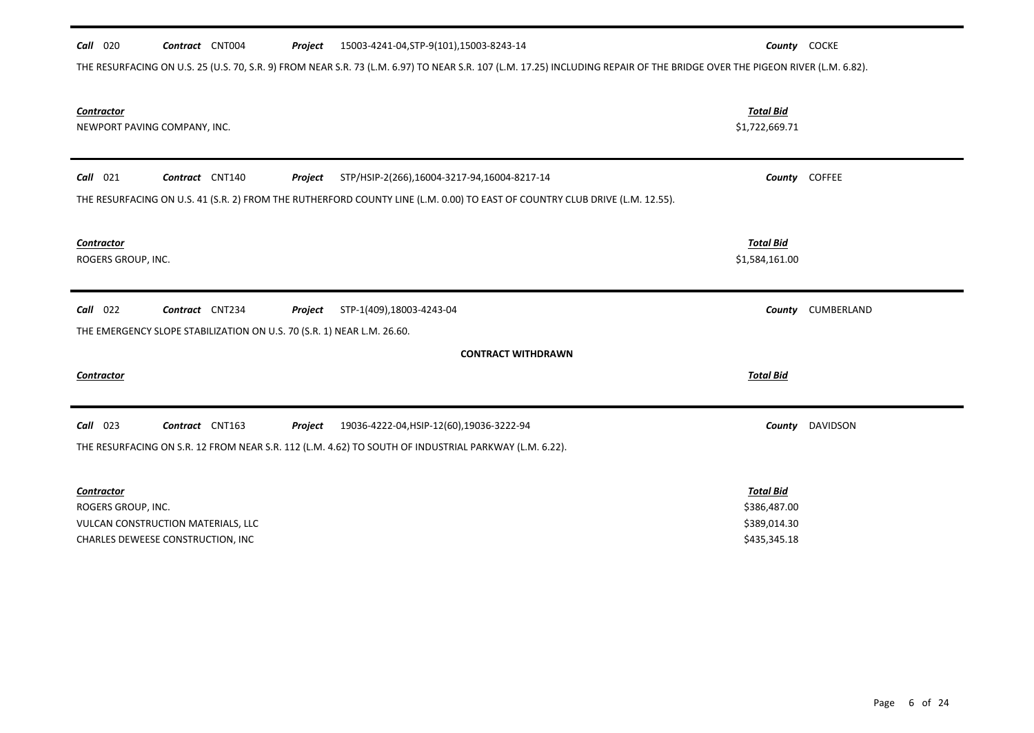| 15003-4241-04, STP-9(101), 15003-8243-14<br>$Call$ 020<br>Contract CNT004<br>Project                                                                                       |                                                  | County COCKE  |  |  |  |  |
|----------------------------------------------------------------------------------------------------------------------------------------------------------------------------|--------------------------------------------------|---------------|--|--|--|--|
| THE RESURFACING ON U.S. 25 (U.S. 70, S.R. 9) FROM NEAR S.R. 73 (L.M. 6.97) TO NEAR S.R. 107 (L.M. 17.25) INCLUDING REPAIR OF THE BRIDGE OVER THE PIGEON RIVER (L.M. 6.82). |                                                  |               |  |  |  |  |
| <b>Contractor</b><br>NEWPORT PAVING COMPANY, INC.                                                                                                                          | <b>Total Bid</b><br>\$1,722,669.71               |               |  |  |  |  |
| Contract CNT140<br>$Call$ 021<br>STP/HSIP-2(266),16004-3217-94,16004-8217-14<br>Project                                                                                    |                                                  | County COFFEE |  |  |  |  |
| THE RESURFACING ON U.S. 41 (S.R. 2) FROM THE RUTHERFORD COUNTY LINE (L.M. 0.00) TO EAST OF COUNTRY CLUB DRIVE (L.M. 12.55).                                                |                                                  |               |  |  |  |  |
| <b>Contractor</b><br>ROGERS GROUP, INC.                                                                                                                                    | <b>Total Bid</b><br>\$1,584,161.00               |               |  |  |  |  |
| $Call$ 022<br>Contract CNT234<br>Project<br>STP-1(409),18003-4243-04                                                                                                       | County                                           | CUMBERLAND    |  |  |  |  |
| THE EMERGENCY SLOPE STABILIZATION ON U.S. 70 (S.R. 1) NEAR L.M. 26.60.                                                                                                     |                                                  |               |  |  |  |  |
| <b>CONTRACT WITHDRAWN</b>                                                                                                                                                  |                                                  |               |  |  |  |  |
| Contractor                                                                                                                                                                 | <b>Total Bid</b>                                 |               |  |  |  |  |
| $Call$ 023<br>Contract CNT163<br>19036-4222-04, HSIP-12(60), 19036-3222-94<br>Project                                                                                      | County                                           | DAVIDSON      |  |  |  |  |
| THE RESURFACING ON S.R. 12 FROM NEAR S.R. 112 (L.M. 4.62) TO SOUTH OF INDUSTRIAL PARKWAY (L.M. 6.22).                                                                      |                                                  |               |  |  |  |  |
| <b>Contractor</b><br>ROGERS GROUP, INC.<br>VULCAN CONSTRUCTION MATERIALS, LLC                                                                                              | <b>Total Bid</b><br>\$386,487.00<br>\$389,014.30 |               |  |  |  |  |
| CHARLES DEWEESE CONSTRUCTION, INC                                                                                                                                          | \$435,345.18                                     |               |  |  |  |  |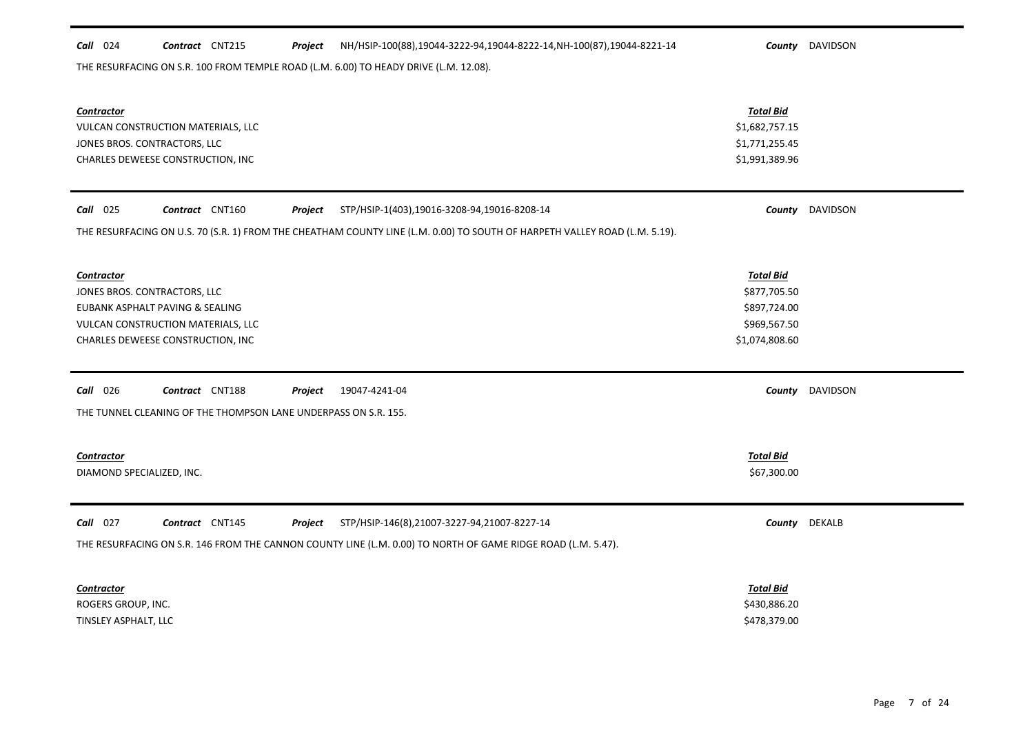| $Call$ 024                   | Contract CNT215                                                 | Project | NH/HSIP-100(88),19044-3222-94,19044-8222-14, NH-100(87), 19044-8221-14                                                     |                  | County DAVIDSON        |
|------------------------------|-----------------------------------------------------------------|---------|----------------------------------------------------------------------------------------------------------------------------|------------------|------------------------|
|                              |                                                                 |         | THE RESURFACING ON S.R. 100 FROM TEMPLE ROAD (L.M. 6.00) TO HEADY DRIVE (L.M. 12.08).                                      |                  |                        |
|                              |                                                                 |         |                                                                                                                            |                  |                        |
|                              |                                                                 |         |                                                                                                                            |                  |                        |
| <b>Contractor</b>            |                                                                 |         |                                                                                                                            | <b>Total Bid</b> |                        |
|                              | VULCAN CONSTRUCTION MATERIALS, LLC                              |         |                                                                                                                            | \$1,682,757.15   |                        |
| JONES BROS. CONTRACTORS, LLC |                                                                 |         |                                                                                                                            | \$1,771,255.45   |                        |
|                              | CHARLES DEWEESE CONSTRUCTION, INC                               |         |                                                                                                                            | \$1,991,389.96   |                        |
|                              |                                                                 |         |                                                                                                                            |                  |                        |
|                              |                                                                 |         |                                                                                                                            |                  |                        |
| <b>Call</b> 025              | Contract CNT160                                                 | Project | STP/HSIP-1(403),19016-3208-94,19016-8208-14                                                                                |                  | <b>County</b> DAVIDSON |
|                              |                                                                 |         | THE RESURFACING ON U.S. 70 (S.R. 1) FROM THE CHEATHAM COUNTY LINE (L.M. 0.00) TO SOUTH OF HARPETH VALLEY ROAD (L.M. 5.19). |                  |                        |
|                              |                                                                 |         |                                                                                                                            |                  |                        |
|                              |                                                                 |         |                                                                                                                            |                  |                        |
| <b>Contractor</b>            |                                                                 |         |                                                                                                                            | <b>Total Bid</b> |                        |
| JONES BROS. CONTRACTORS, LLC |                                                                 |         |                                                                                                                            | \$877,705.50     |                        |
|                              | EUBANK ASPHALT PAVING & SEALING                                 |         |                                                                                                                            | \$897,724.00     |                        |
|                              | VULCAN CONSTRUCTION MATERIALS, LLC                              |         |                                                                                                                            | \$969,567.50     |                        |
|                              | CHARLES DEWEESE CONSTRUCTION, INC                               |         |                                                                                                                            | \$1,074,808.60   |                        |
|                              |                                                                 |         |                                                                                                                            |                  |                        |
| Call 026                     | Contract CNT188                                                 | Project | 19047-4241-04                                                                                                              |                  | County DAVIDSON        |
|                              |                                                                 |         |                                                                                                                            |                  |                        |
|                              | THE TUNNEL CLEANING OF THE THOMPSON LANE UNDERPASS ON S.R. 155. |         |                                                                                                                            |                  |                        |
|                              |                                                                 |         |                                                                                                                            |                  |                        |
| <b>Contractor</b>            |                                                                 |         |                                                                                                                            | <b>Total Bid</b> |                        |
| DIAMOND SPECIALIZED, INC.    |                                                                 |         |                                                                                                                            | \$67,300.00      |                        |
|                              |                                                                 |         |                                                                                                                            |                  |                        |
|                              |                                                                 |         |                                                                                                                            |                  |                        |
| $Call$ 027                   | Contract CNT145                                                 | Project | STP/HSIP-146(8),21007-3227-94,21007-8227-14                                                                                |                  | County DEKALB          |
|                              |                                                                 |         | THE RESURFACING ON S.R. 146 FROM THE CANNON COUNTY LINE (L.M. 0.00) TO NORTH OF GAME RIDGE ROAD (L.M. 5.47).               |                  |                        |
|                              |                                                                 |         |                                                                                                                            |                  |                        |
|                              |                                                                 |         |                                                                                                                            |                  |                        |
| <b>Contractor</b>            |                                                                 |         |                                                                                                                            | <b>Total Bid</b> |                        |
| ROGERS GROUP, INC.           |                                                                 |         |                                                                                                                            | \$430,886.20     |                        |
| TINSLEY ASPHALT, LLC         |                                                                 |         |                                                                                                                            | \$478,379.00     |                        |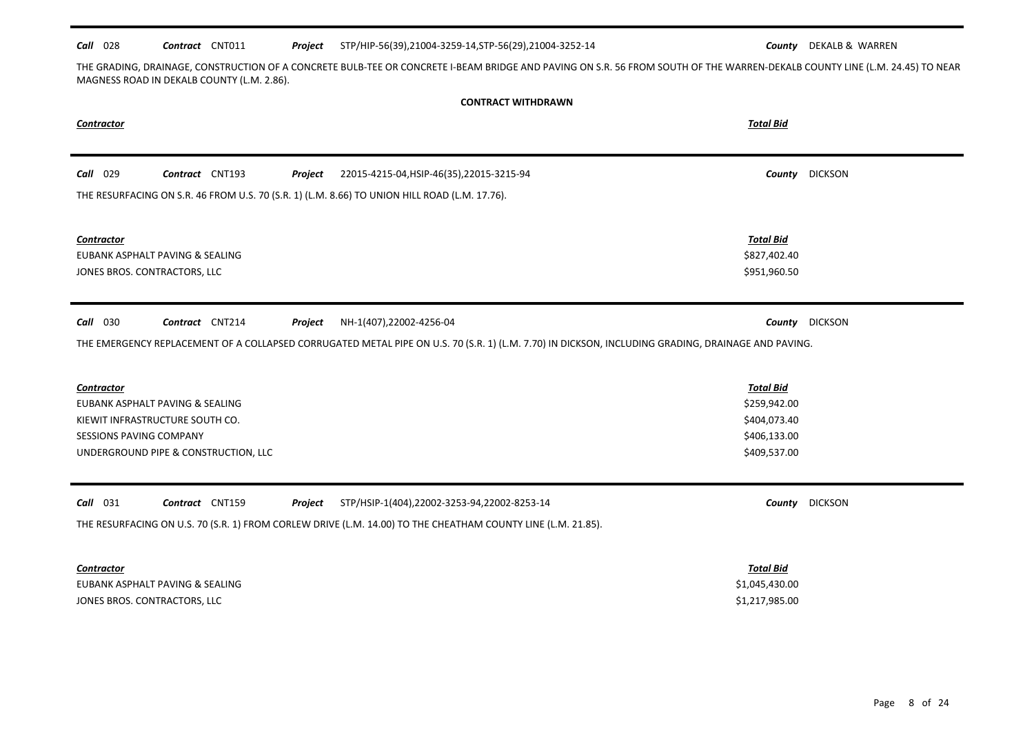#### *Call* 028 *Contract* CNT011 *Project County* DEKALB & WARREN STP/HIP-56(39),21004-3259-14,STP-56(29),21004-3252-14

THE GRADING, DRAINAGE, CONSTRUCTION OF A CONCRETE BULB-TEE OR CONCRETE I-BEAM BRIDGE AND PAVING ON S.R. 56 FROM SOUTH OF THE WARREN-DEKALB COUNTY LINE (L.M. 24.45) TO NEAR MAGNESS ROAD IN DEKALB COUNTY (L.M. 2.86).

| <b>CONTRACT WITHDRAWN</b>                                                                                                                                         |                                                                                  |                |  |  |  |
|-------------------------------------------------------------------------------------------------------------------------------------------------------------------|----------------------------------------------------------------------------------|----------------|--|--|--|
| Contractor                                                                                                                                                        | <b>Total Bid</b>                                                                 |                |  |  |  |
| <b>Call</b> 029<br>Contract CNT193<br>22015-4215-04, HSIP-46(35), 22015-3215-94<br>Project                                                                        | County                                                                           | <b>DICKSON</b> |  |  |  |
| THE RESURFACING ON S.R. 46 FROM U.S. 70 (S.R. 1) (L.M. 8.66) TO UNION HILL ROAD (L.M. 17.76).                                                                     |                                                                                  |                |  |  |  |
| Contractor<br>EUBANK ASPHALT PAVING & SEALING<br>JONES BROS. CONTRACTORS, LLC                                                                                     | <b>Total Bid</b><br>\$827,402.40<br>\$951,960.50                                 |                |  |  |  |
| <b>Call</b> 030<br>Contract CNT214<br>NH-1(407),22002-4256-04<br>Project                                                                                          | County                                                                           | <b>DICKSON</b> |  |  |  |
| THE EMERGENCY REPLACEMENT OF A COLLAPSED CORRUGATED METAL PIPE ON U.S. 70 (S.R. 1) (L.M. 7.70) IN DICKSON, INCLUDING GRADING, DRAINAGE AND PAVING.                |                                                                                  |                |  |  |  |
| <b>Contractor</b><br>EUBANK ASPHALT PAVING & SEALING<br>KIEWIT INFRASTRUCTURE SOUTH CO.<br><b>SESSIONS PAVING COMPANY</b><br>UNDERGROUND PIPE & CONSTRUCTION, LLC | <b>Total Bid</b><br>\$259,942.00<br>\$404,073.40<br>\$406,133.00<br>\$409,537.00 |                |  |  |  |
| $Call$ 031<br>Contract CNT159<br>Project<br>STP/HSIP-1(404),22002-3253-94,22002-8253-14                                                                           | County                                                                           | <b>DICKSON</b> |  |  |  |
| THE RESURFACING ON U.S. 70 (S.R. 1) FROM CORLEW DRIVE (L.M. 14.00) TO THE CHEATHAM COUNTY LINE (L.M. 21.85).                                                      |                                                                                  |                |  |  |  |
| <b>Contractor</b>                                                                                                                                                 | <b>Total Bid</b>                                                                 |                |  |  |  |
| EUBANK ASPHALT PAVING & SEALING                                                                                                                                   | \$1,045,430.00                                                                   |                |  |  |  |
| JONES BROS. CONTRACTORS, LLC                                                                                                                                      | \$1,217,985.00                                                                   |                |  |  |  |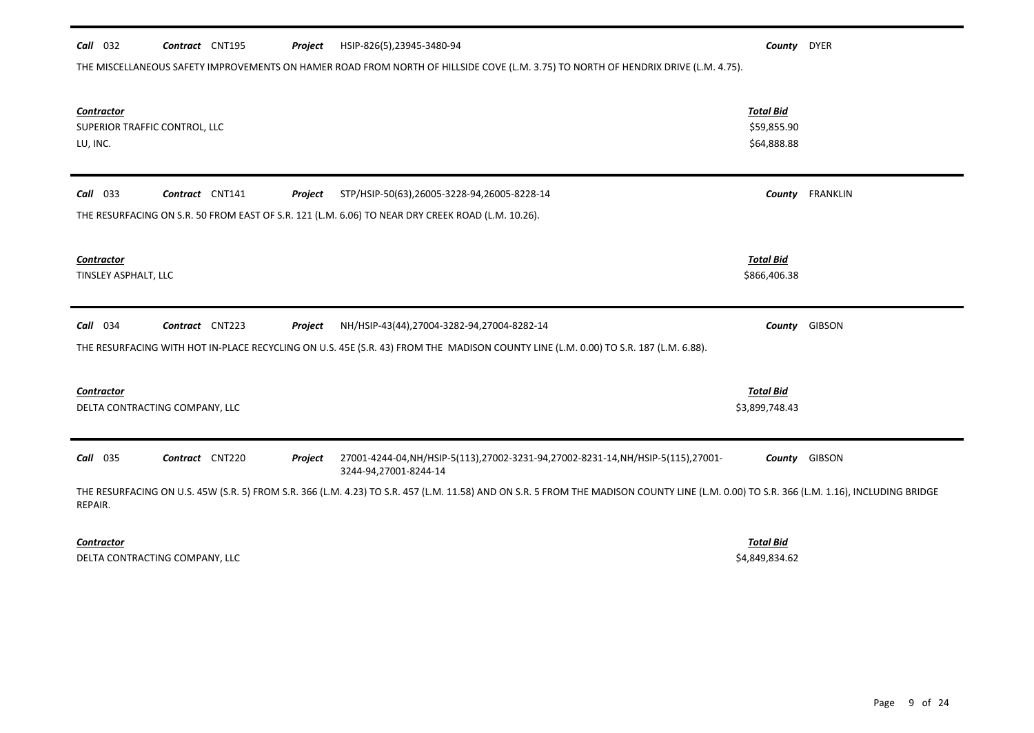| <b>Call</b> 032                                                | Contract CNT195 | Project | HSIP-826(5),23945-3480-94                                                                                                                                                                | County                                         | <b>DYER</b>   |
|----------------------------------------------------------------|-----------------|---------|------------------------------------------------------------------------------------------------------------------------------------------------------------------------------------------|------------------------------------------------|---------------|
|                                                                |                 |         | THE MISCELLANEOUS SAFETY IMPROVEMENTS ON HAMER ROAD FROM NORTH OF HILLSIDE COVE (L.M. 3.75) TO NORTH OF HENDRIX DRIVE (L.M. 4.75).                                                       |                                                |               |
| <b>Contractor</b><br>SUPERIOR TRAFFIC CONTROL, LLC<br>LU, INC. |                 |         |                                                                                                                                                                                          | <b>Total Bid</b><br>\$59,855.90<br>\$64,888.88 |               |
| $Call$ 033                                                     | Contract CNT141 | Project | STP/HSIP-50(63),26005-3228-94,26005-8228-14                                                                                                                                              | County                                         | FRANKLIN      |
|                                                                |                 |         | THE RESURFACING ON S.R. 50 FROM EAST OF S.R. 121 (L.M. 6.06) TO NEAR DRY CREEK ROAD (L.M. 10.26).                                                                                        |                                                |               |
| <b>Contractor</b><br>TINSLEY ASPHALT, LLC                      |                 |         |                                                                                                                                                                                          | <b>Total Bid</b><br>\$866,406.38               |               |
| Call 034                                                       | Contract CNT223 | Project | NH/HSIP-43(44),27004-3282-94,27004-8282-14                                                                                                                                               |                                                | County GIBSON |
|                                                                |                 |         | THE RESURFACING WITH HOT IN-PLACE RECYCLING ON U.S. 45E (S.R. 43) FROM THE MADISON COUNTY LINE (L.M. 0.00) TO S.R. 187 (L.M. 6.88).                                                      |                                                |               |
| <b>Contractor</b><br>DELTA CONTRACTING COMPANY, LLC            |                 |         |                                                                                                                                                                                          | <b>Total Bid</b><br>\$3,899,748.43             |               |
| <b>Call</b> 035                                                | Contract CNT220 | Project | 27001-4244-04, NH/HSIP-5(113), 27002-3231-94, 27002-8231-14, NH/HSIP-5(115), 27001-<br>3244-94,27001-8244-14                                                                             |                                                | County GIBSON |
| REPAIR.                                                        |                 |         | THE RESURFACING ON U.S. 45W (S.R. 5) FROM S.R. 366 (L.M. 4.23) TO S.R. 457 (L.M. 11.58) AND ON S.R. 5 FROM THE MADISON COUNTY LINE (L.M. 0.00) TO S.R. 366 (L.M. 1.16), INCLUDING BRIDGE |                                                |               |
|                                                                |                 |         |                                                                                                                                                                                          |                                                |               |

*Contractor Total Bid*

DELTA CONTRACTING COMPANY, LLC \$4,849,834.62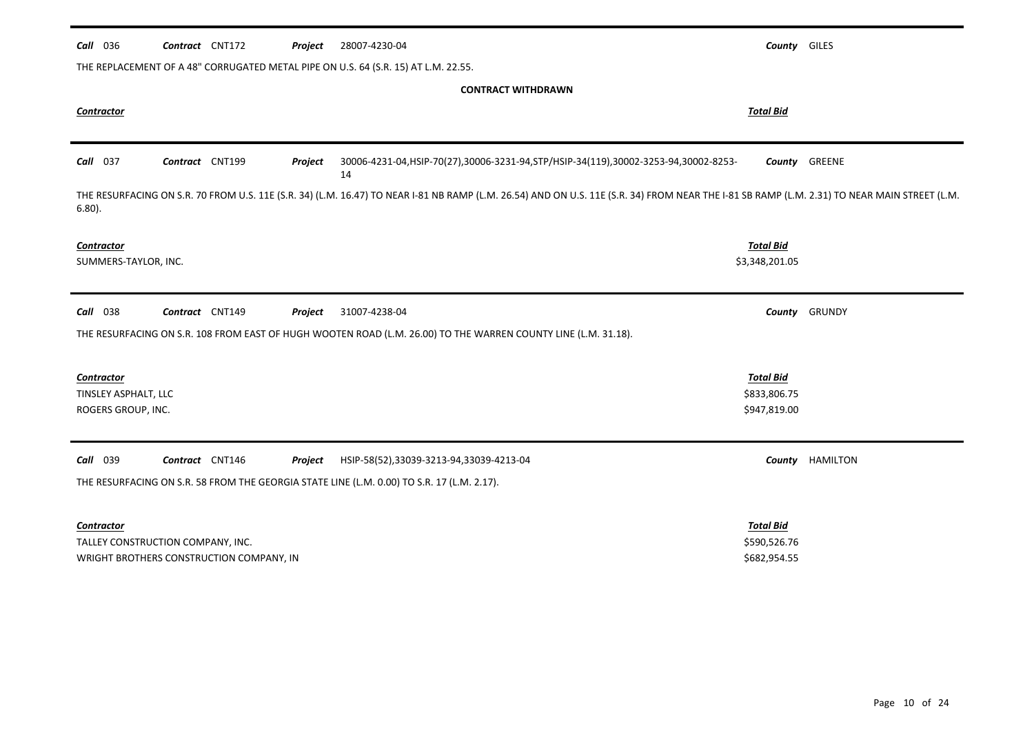| Call 036                                                        | Contract CNT172                          | Project | 28007-4230-04                                                                                                                                                                                | County GILES                                     |                 |
|-----------------------------------------------------------------|------------------------------------------|---------|----------------------------------------------------------------------------------------------------------------------------------------------------------------------------------------------|--------------------------------------------------|-----------------|
|                                                                 |                                          |         | THE REPLACEMENT OF A 48" CORRUGATED METAL PIPE ON U.S. 64 (S.R. 15) AT L.M. 22.55.                                                                                                           |                                                  |                 |
|                                                                 |                                          |         | <b>CONTRACT WITHDRAWN</b>                                                                                                                                                                    |                                                  |                 |
| Contractor                                                      |                                          |         |                                                                                                                                                                                              | <b>Total Bid</b>                                 |                 |
|                                                                 |                                          |         |                                                                                                                                                                                              |                                                  |                 |
| Call 037                                                        | Contract CNT199                          | Project | 30006-4231-04, HSIP-70(27), 30006-3231-94, STP/HSIP-34(119), 30002-3253-94, 30002-8253-<br>14                                                                                                |                                                  | County GREENE   |
| $6.80$ ).                                                       |                                          |         | THE RESURFACING ON S.R. 70 FROM U.S. 11E (S.R. 34) (L.M. 16.47) TO NEAR I-81 NB RAMP (L.M. 26.54) AND ON U.S. 11E (S.R. 34) FROM NEAR THE I-81 SB RAMP (L.M. 2.31) TO NEAR MAIN STREET (L.M. |                                                  |                 |
| <b>Contractor</b><br>SUMMERS-TAYLOR, INC.                       |                                          |         |                                                                                                                                                                                              | <b>Total Bid</b><br>\$3,348,201.05               |                 |
| <b>Call</b> 038                                                 | Contract CNT149                          | Project | 31007-4238-04<br>THE RESURFACING ON S.R. 108 FROM EAST OF HUGH WOOTEN ROAD (L.M. 26.00) TO THE WARREN COUNTY LINE (L.M. 31.18).                                                              | County                                           | GRUNDY          |
| <b>Contractor</b><br>TINSLEY ASPHALT, LLC<br>ROGERS GROUP, INC. |                                          |         |                                                                                                                                                                                              | <b>Total Bid</b><br>\$833,806.75<br>\$947,819.00 |                 |
| Call 039                                                        | Contract CNT146                          | Project | HSIP-58(52),33039-3213-94,33039-4213-04<br>THE RESURFACING ON S.R. 58 FROM THE GEORGIA STATE LINE (L.M. 0.00) TO S.R. 17 (L.M. 2.17).                                                        |                                                  | County HAMILTON |
| <b>Contractor</b>                                               | TALLEY CONSTRUCTION COMPANY, INC.        |         |                                                                                                                                                                                              | <b>Total Bid</b><br>\$590,526.76                 |                 |
|                                                                 | WRIGHT BROTHERS CONSTRUCTION COMPANY, IN |         |                                                                                                                                                                                              | \$682,954.55                                     |                 |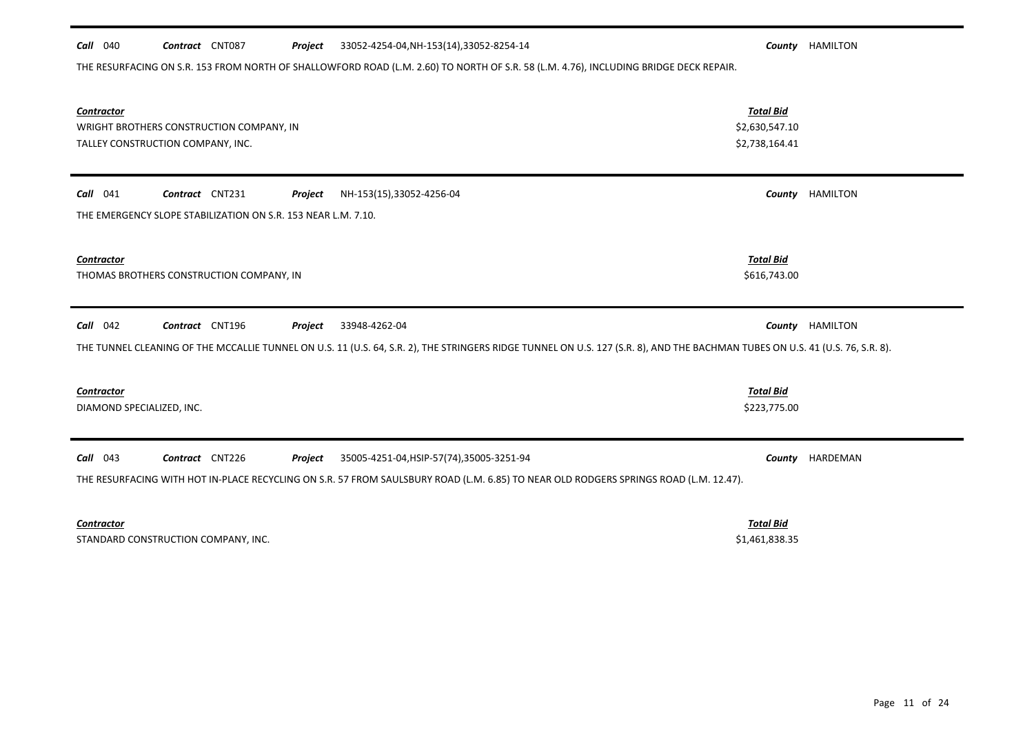| $Call$ 040<br>Contract CNT087<br>Project                                                                  | 33052-4254-04, NH-153(14), 33052-8254-14                                                                                                                                                       |                                                      | County HAMILTON |
|-----------------------------------------------------------------------------------------------------------|------------------------------------------------------------------------------------------------------------------------------------------------------------------------------------------------|------------------------------------------------------|-----------------|
|                                                                                                           | THE RESURFACING ON S.R. 153 FROM NORTH OF SHALLOWFORD ROAD (L.M. 2.60) TO NORTH OF S.R. 58 (L.M. 4.76), INCLUDING BRIDGE DECK REPAIR.                                                          |                                                      |                 |
| <b>Contractor</b><br>WRIGHT BROTHERS CONSTRUCTION COMPANY, IN<br>TALLEY CONSTRUCTION COMPANY, INC.        |                                                                                                                                                                                                | <b>Total Bid</b><br>\$2,630,547.10<br>\$2,738,164.41 |                 |
| $Call$ 041<br>Contract CNT231<br>Project<br>THE EMERGENCY SLOPE STABILIZATION ON S.R. 153 NEAR L.M. 7.10. | NH-153(15),33052-4256-04                                                                                                                                                                       | County                                               | HAMILTON        |
| Contractor<br>THOMAS BROTHERS CONSTRUCTION COMPANY, IN                                                    |                                                                                                                                                                                                | <b>Total Bid</b><br>\$616,743.00                     |                 |
| <b>Call</b> 042<br>Contract CNT196<br>Project                                                             | 33948-4262-04<br>THE TUNNEL CLEANING OF THE MCCALLIE TUNNEL ON U.S. 11 (U.S. 64, S.R. 2), THE STRINGERS RIDGE TUNNEL ON U.S. 127 (S.R. 8), AND THE BACHMAN TUBES ON U.S. 41 (U.S. 76, S.R. 8). | County                                               | HAMILTON        |
| <b>Contractor</b><br>DIAMOND SPECIALIZED, INC.                                                            |                                                                                                                                                                                                | <b>Total Bid</b><br>\$223,775.00                     |                 |
| $Call$ 043<br>Contract CNT226<br>Project                                                                  | 35005-4251-04, HSIP-57(74), 35005-3251-94<br>THE RESURFACING WITH HOT IN-PLACE RECYCLING ON S.R. 57 FROM SAULSBURY ROAD (L.M. 6.85) TO NEAR OLD RODGERS SPRINGS ROAD (L.M. 12.47).             | County                                               | HARDEMAN        |
| <b>Contractor</b>                                                                                         |                                                                                                                                                                                                | <b>Total Bid</b>                                     |                 |

STANDARD CONSTRUCTION COMPANY, INC. STANDARD CONSTRUCTION COMPANY, INC.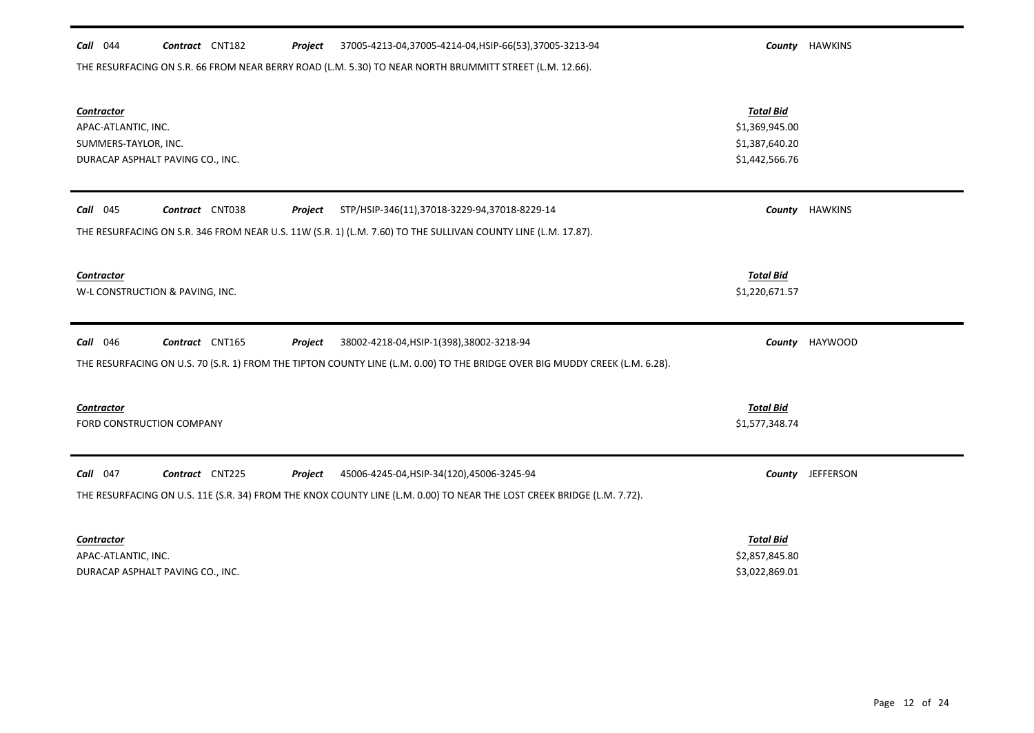## *Call* 044 *Contract* CNT182 *Project County* HAWKINS 37005-4213-04,37005-4214-04,HSIP-66(53),37005-3213-94

THE RESURFACING ON S.R. 66 FROM NEAR BERRY ROAD (L.M. 5.30) TO NEAR NORTH BRUMMITT STREET (L.M. 12.66).

| Contractor<br>APAC-ATLANTIC, INC.<br>SUMMERS-TAYLOR, INC.<br>DURACAP ASPHALT PAVING CO., INC.                               | <b>Total Bid</b><br>\$1,369,945.00<br>\$1,387,640.20<br>\$1,442,566.76 |                       |  |  |  |
|-----------------------------------------------------------------------------------------------------------------------------|------------------------------------------------------------------------|-----------------------|--|--|--|
| Contract CNT038<br>$Call$ 045<br>Project<br>STP/HSIP-346(11),37018-3229-94,37018-8229-14                                    |                                                                        | <b>County HAWKINS</b> |  |  |  |
| THE RESURFACING ON S.R. 346 FROM NEAR U.S. 11W (S.R. 1) (L.M. 7.60) TO THE SULLIVAN COUNTY LINE (L.M. 17.87).               |                                                                        |                       |  |  |  |
| Contractor<br>W-L CONSTRUCTION & PAVING, INC.                                                                               | <b>Total Bid</b><br>\$1,220,671.57                                     |                       |  |  |  |
| <b>Call</b> 046<br>Contract CNT165<br>38002-4218-04, HSIP-1(398), 38002-3218-94<br>Project                                  |                                                                        | County HAYWOOD        |  |  |  |
| THE RESURFACING ON U.S. 70 (S.R. 1) FROM THE TIPTON COUNTY LINE (L.M. 0.00) TO THE BRIDGE OVER BIG MUDDY CREEK (L.M. 6.28). |                                                                        |                       |  |  |  |
| Contractor<br>FORD CONSTRUCTION COMPANY                                                                                     | <b>Total Bid</b><br>\$1,577,348.74                                     |                       |  |  |  |
| Call 047<br>Contract CNT225<br>Project<br>45006-4245-04, HSIP-34(120), 45006-3245-94                                        |                                                                        | County JEFFERSON      |  |  |  |
| THE RESURFACING ON U.S. 11E (S.R. 34) FROM THE KNOX COUNTY LINE (L.M. 0.00) TO NEAR THE LOST CREEK BRIDGE (L.M. 7.72).      |                                                                        |                       |  |  |  |
| <b>Contractor</b><br>APAC-ATLANTIC, INC.<br>DURACAP ASPHALT PAVING CO., INC.                                                | <b>Total Bid</b><br>\$2,857,845.80<br>\$3,022,869.01                   |                       |  |  |  |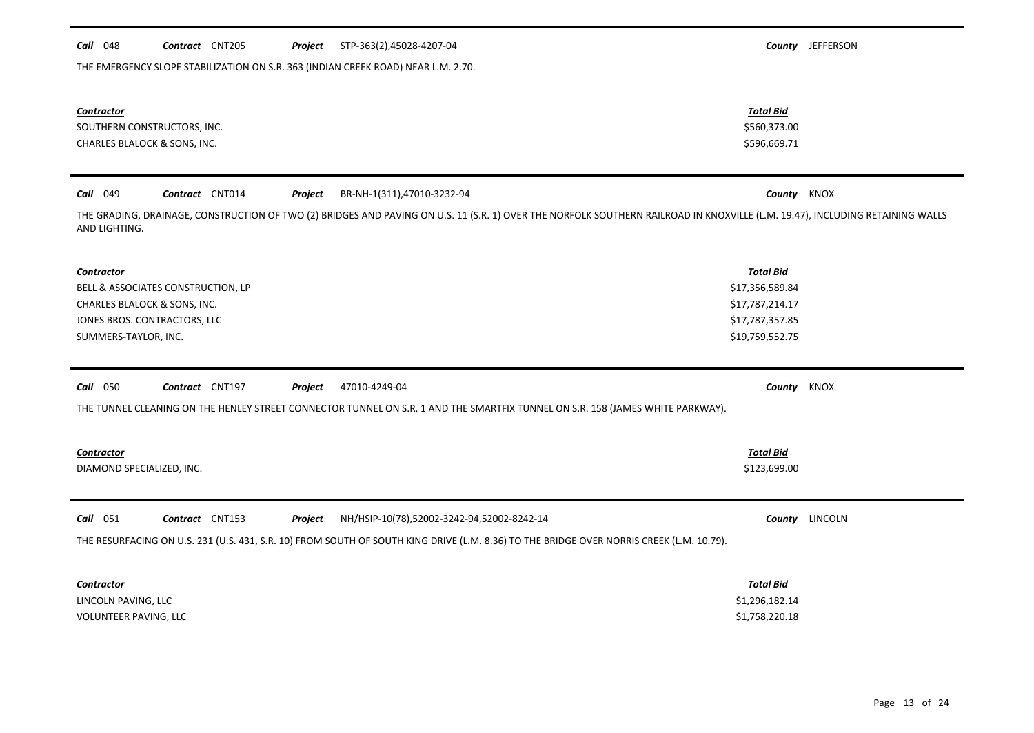| <b>Contractor</b><br>SOUTHERN CONSTRUCTORS, INC.<br>CHARLES BLALOCK & SONS, INC.                                                                                                               | <b>Total Bid</b><br>\$560,373.00<br>\$596,669.71 |                |
|------------------------------------------------------------------------------------------------------------------------------------------------------------------------------------------------|--------------------------------------------------|----------------|
| <b>Call</b> 049<br>Contract CNT014<br>Project<br>BR-NH-1(311),47010-3232-94                                                                                                                    | County KNOX                                      |                |
| THE GRADING, DRAINAGE, CONSTRUCTION OF TWO (2) BRIDGES AND PAVING ON U.S. 11 (S.R. 1) OVER THE NORFOLK SOUTHERN RAILROAD IN KNOXVILLE (L.M. 19.47), INCLUDING RETAINING WALLS<br>AND LIGHTING. |                                                  |                |
| <b>Contractor</b>                                                                                                                                                                              | <b>Total Bid</b>                                 |                |
| BELL & ASSOCIATES CONSTRUCTION, LP                                                                                                                                                             | \$17,356,589.84                                  |                |
| CHARLES BLALOCK & SONS, INC.                                                                                                                                                                   | \$17,787,214.17                                  |                |
| JONES BROS. CONTRACTORS, LLC                                                                                                                                                                   | \$17,787,357.85                                  |                |
| SUMMERS-TAYLOR, INC.                                                                                                                                                                           | \$19,759,552.75                                  |                |
|                                                                                                                                                                                                |                                                  |                |
| Contract CNT197<br>47010-4249-04<br>Call 050<br>Project                                                                                                                                        | County KNOX                                      |                |
| THE TUNNEL CLEANING ON THE HENLEY STREET CONNECTOR TUNNEL ON S.R. 1 AND THE SMARTFIX TUNNEL ON S.R. 158 (JAMES WHITE PARKWAY).                                                                 |                                                  |                |
|                                                                                                                                                                                                |                                                  |                |
| <b>Contractor</b>                                                                                                                                                                              | <b>Total Bid</b>                                 |                |
| DIAMOND SPECIALIZED, INC.                                                                                                                                                                      | \$123,699.00                                     |                |
|                                                                                                                                                                                                |                                                  |                |
| Call 051<br>Contract CNT153<br>NH/HSIP-10(78),52002-3242-94,52002-8242-14<br>Project                                                                                                           |                                                  | County LINCOLN |
| THE RESURFACING ON U.S. 231 (U.S. 431, S.R. 10) FROM SOUTH OF SOUTH KING DRIVE (L.M. 8.36) TO THE BRIDGE OVER NORRIS CREEK (L.M. 10.79).                                                       |                                                  |                |
|                                                                                                                                                                                                |                                                  |                |
| <b>Contractor</b>                                                                                                                                                                              | <b>Total Bid</b>                                 |                |
| LINCOLN PAVING, LLC                                                                                                                                                                            | \$1,296,182.14                                   |                |

VOLUNTEER PAVING, LLC \$1,758,220.18

*Call* 048 *Contract* CNT205 *Project County* JEFFERSON STP-363(2),45028-4207-04

THE EMERGENCY SLOPE STABILIZATION ON S.R. 363 (INDIAN CREEK ROAD) NEAR L.M. 2.70.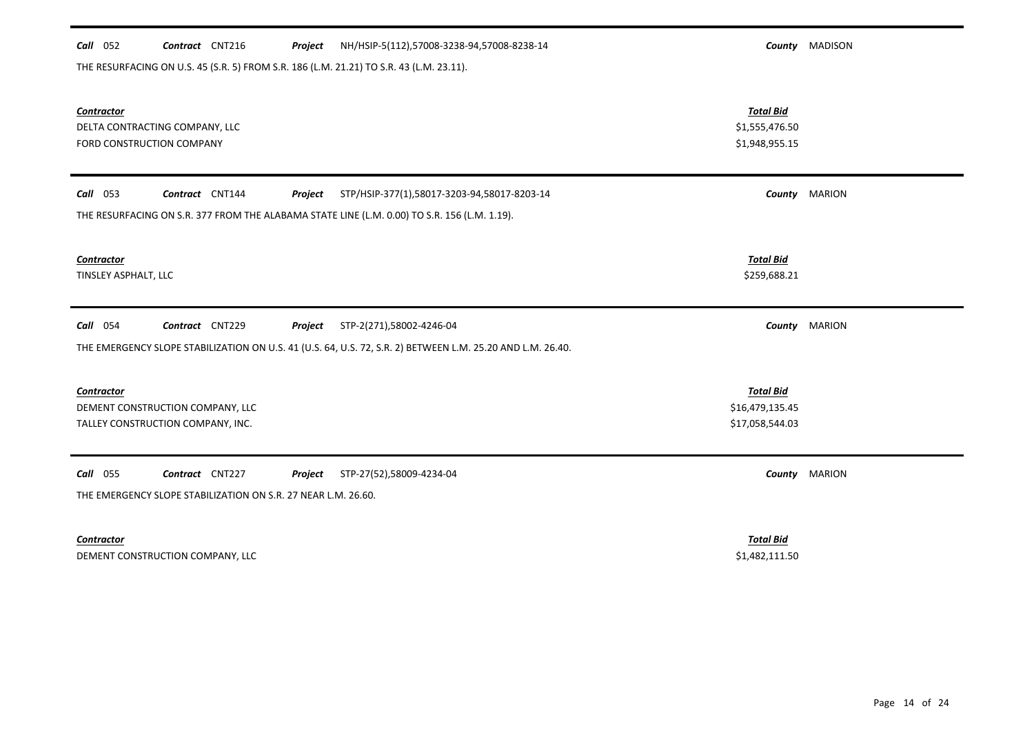#### *Call* 052 *Contract* CNT216 *Project County* MADISON NH/HSIP-5(112),57008-3238-94,57008-8238-14

THE RESURFACING ON U.S. 45 (S.R. 5) FROM S.R. 186 (L.M. 21.21) TO S.R. 43 (L.M. 23.11).

| <b>Contractor</b><br>DELTA CONTRACTING COMPANY, LLC<br>FORD CONSTRUCTION COMPANY                           | <b>Total Bid</b><br>\$1,555,476.50<br>\$1,948,955.15   |               |  |  |  |
|------------------------------------------------------------------------------------------------------------|--------------------------------------------------------|---------------|--|--|--|
| Contract CNT144<br>$Call$ 053<br>Project<br>STP/HSIP-377(1),58017-3203-94,58017-8203-14                    |                                                        | County MARION |  |  |  |
| THE RESURFACING ON S.R. 377 FROM THE ALABAMA STATE LINE (L.M. 0.00) TO S.R. 156 (L.M. 1.19).               |                                                        |               |  |  |  |
| <b>Contractor</b><br>TINSLEY ASPHALT, LLC                                                                  | <b>Total Bid</b><br>\$259,688.21                       |               |  |  |  |
| Contract CNT229<br><b>Call</b> 054<br>STP-2(271),58002-4246-04<br>Project                                  | County                                                 | <b>MARION</b> |  |  |  |
| THE EMERGENCY SLOPE STABILIZATION ON U.S. 41 (U.S. 64, U.S. 72, S.R. 2) BETWEEN L.M. 25.20 AND L.M. 26.40. |                                                        |               |  |  |  |
| Contractor<br>DEMENT CONSTRUCTION COMPANY, LLC<br>TALLEY CONSTRUCTION COMPANY, INC.                        | <b>Total Bid</b><br>\$16,479,135.45<br>\$17,058,544.03 |               |  |  |  |
| <b>Call</b> 055<br>Contract CNT227<br>Project<br>STP-27(52),58009-4234-04                                  | County                                                 | <b>MARION</b> |  |  |  |
| THE EMERGENCY SLOPE STABILIZATION ON S.R. 27 NEAR L.M. 26.60.                                              |                                                        |               |  |  |  |
| Contractor<br>DEMENT CONSTRUCTION COMPANY, LLC                                                             | <b>Total Bid</b><br>\$1,482,111.50                     |               |  |  |  |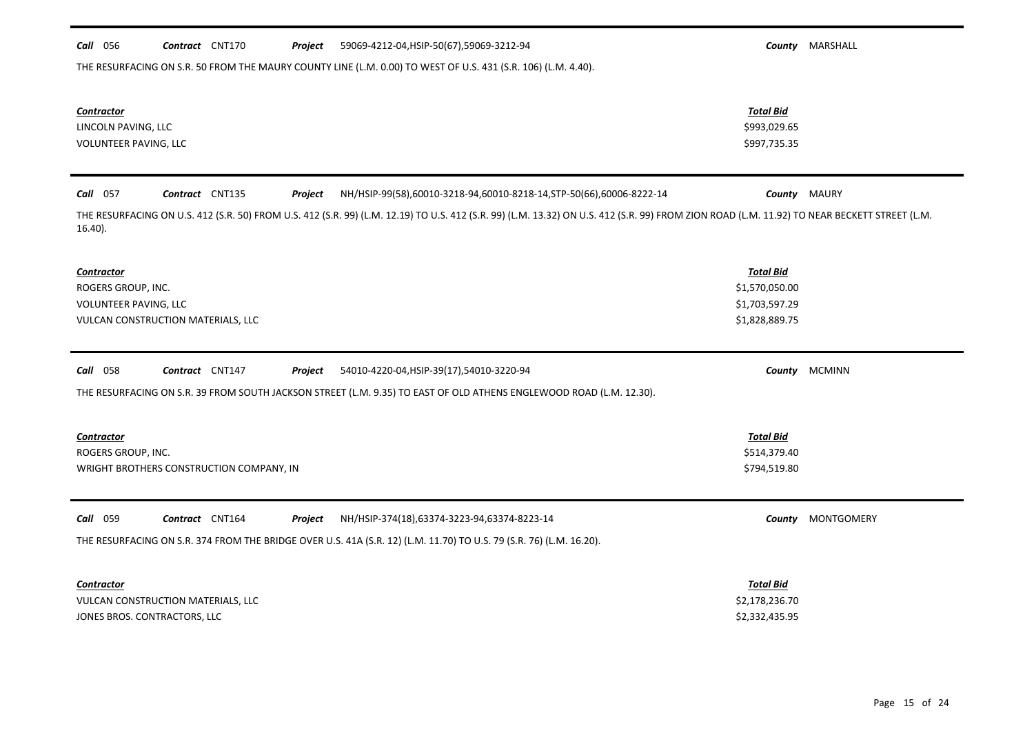| Call 056<br>Contract CNT170<br>59069-4212-04, HSIP-50(67), 59069-3212-94<br>Project                                                                                                                        |                  | <b>County MARSHALL</b> |
|------------------------------------------------------------------------------------------------------------------------------------------------------------------------------------------------------------|------------------|------------------------|
| THE RESURFACING ON S.R. 50 FROM THE MAURY COUNTY LINE (L.M. 0.00) TO WEST OF U.S. 431 (S.R. 106) (L.M. 4.40).                                                                                              |                  |                        |
| Contractor                                                                                                                                                                                                 | Total Bid        |                        |
| LINCOLN PAVING, LLC                                                                                                                                                                                        | \$993,029.65     |                        |
| VOLUNTEER PAVING, LLC                                                                                                                                                                                      | \$997,735.35     |                        |
| Call 057<br>Contract CNT135<br>NH/HSIP-99(58),60010-3218-94,60010-8218-14,STP-50(66),60006-8222-14<br>Project                                                                                              |                  | <b>County</b> MAURY    |
| THE RESURFACING ON U.S. 412 (S.R. 50) FROM U.S. 412 (S.R. 99) (L.M. 12.19) TO U.S. 412 (S.R. 99) (L.M. 13.32) ON U.S. 412 (S.R. 99) FROM ZION ROAD (L.M. 11.92) TO NEAR BECKETT STREET (L.M.<br>$16.40$ ). |                  |                        |
| Contractor                                                                                                                                                                                                 | <b>Total Bid</b> |                        |
| ROGERS GROUP, INC.                                                                                                                                                                                         | \$1,570,050.00   |                        |
| VOLUNTEER PAVING, LLC                                                                                                                                                                                      | \$1,703,597.29   |                        |
| VULCAN CONSTRUCTION MATERIALS, LLC                                                                                                                                                                         | \$1,828,889.75   |                        |
| Call 058<br>Contract CNT147<br>54010-4220-04, HSIP-39(17), 54010-3220-94<br>Project                                                                                                                        |                  | County MCMINN          |
| THE RESURFACING ON S.R. 39 FROM SOUTH JACKSON STREET (L.M. 9.35) TO EAST OF OLD ATHENS ENGLEWOOD ROAD (L.M. 12.30).                                                                                        |                  |                        |
| <b>Contractor</b>                                                                                                                                                                                          | <b>Total Bid</b> |                        |
| ROGERS GROUP, INC.                                                                                                                                                                                         | \$514,379.40     |                        |
| WRIGHT BROTHERS CONSTRUCTION COMPANY, IN                                                                                                                                                                   | \$794,519.80     |                        |
| Call 059<br>Contract CNT164<br>NH/HSIP-374(18),63374-3223-94,63374-8223-14<br>Project                                                                                                                      |                  | County MONTGOMERY      |
| THE RESURFACING ON S.R. 374 FROM THE BRIDGE OVER U.S. 41A (S.R. 12) (L.M. 11.70) TO U.S. 79 (S.R. 76) (L.M. 16.20).                                                                                        |                  |                        |
| <b>Contractor</b>                                                                                                                                                                                          | <b>Total Bid</b> |                        |
| VULCAN CONSTRUCTION MATERIALS, LLC                                                                                                                                                                         | \$2,178,236.70   |                        |
| JONES BROS. CONTRACTORS, LLC                                                                                                                                                                               | \$2,332,435.95   |                        |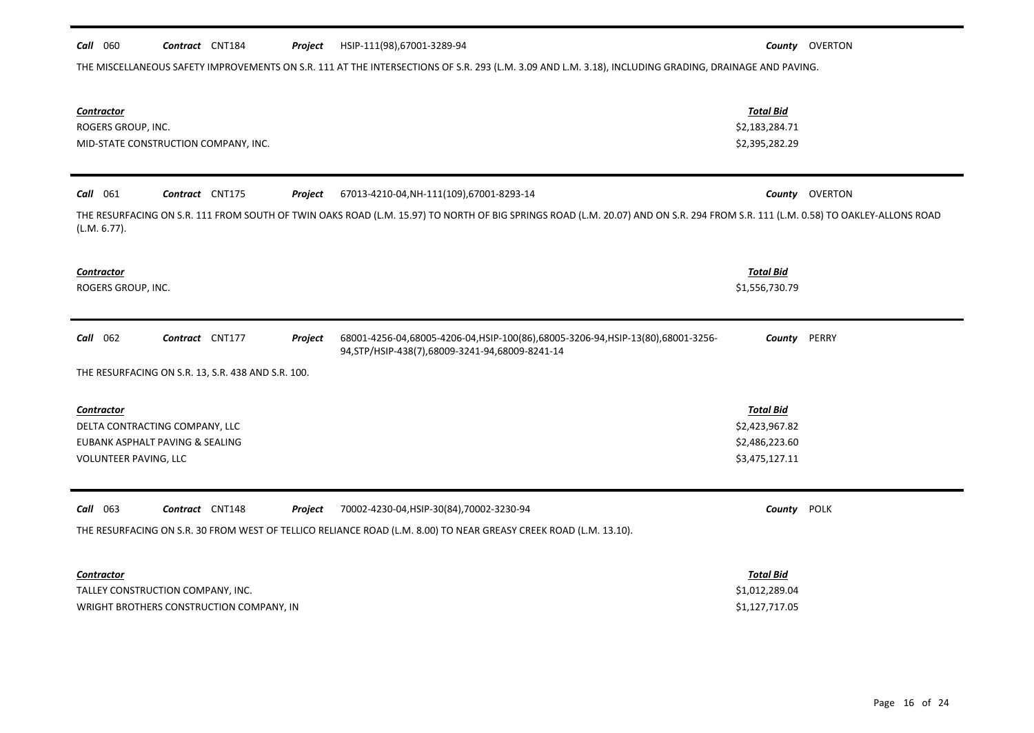# *Call* 060 *Contract* CNT184 *Project County* OVERTON HSIP-111(98),67001-3289-94 THE MISCELLANEOUS SAFETY IMPROVEMENTS ON S.R. 111 AT THE INTERSECTIONS OF S.R. 293 (L.M. 3.09 AND L.M. 3.18), INCLUDING GRADING, DRAINAGE AND PAVING. *Contractor Total Bid* ROGERS GROUP, INC. \$2,183,284.71 MID-STATE CONSTRUCTION COMPANY, INC. THE CONSTRUCTION COMPANY, INC. *Call* 061 *Contract* CNT175 *Project County* OVERTON 67013-4210-04,NH-111(109),67001-8293-14 THE RESURFACING ON S.R. 111 FROM SOUTH OF TWIN OAKS ROAD (L.M. 15.97) TO NORTH OF BIG SPRINGS ROAD (L.M. 20.07) AND ON S.R. 294 FROM S.R. 111 (L.M. 0.58) TO OAKLEY-ALLONS ROAD (L.M. 6.77). *Contractor Total Bid* ROGERS GROUP, INC. \$1,556,730.79 *Call* 062 *Contract* CNT177 *Project County* PERRY 68001-4256-04,68005-4206-04,HSIP-100(86),68005-3206-94,HSIP-13(80),68001-3256- THE RESURFACING ON S.R. 13, S.R. 438 AND S.R. 100. 94,STP/HSIP-438(7),68009-3241-94,68009-8241-14 *Contractor Total Bid* DELTA CONTRACTING COMPANY, LLC \$2,423,967.82 EUBANK ASPHALT PAVING & SEALING \$2,486,223.60 VOLUNTEER PAVING, LLC \$3,475,127.11 *Call* 063 *Contract* CNT148 *Project County* POLK 70002-4230-04,HSIP-30(84),70002-3230-94 THE RESURFACING ON S.R. 30 FROM WEST OF TELLICO RELIANCE ROAD (L.M. 8.00) TO NEAR GREASY CREEK ROAD (L.M. 13.10). *Contractor Total Bid*

| TALLEY CONSTRUCTION COMPANY, INC.        | \$1,012,289.04 |
|------------------------------------------|----------------|
| WRIGHT BROTHERS CONSTRUCTION COMPANY. IN | \$1,127,717.05 |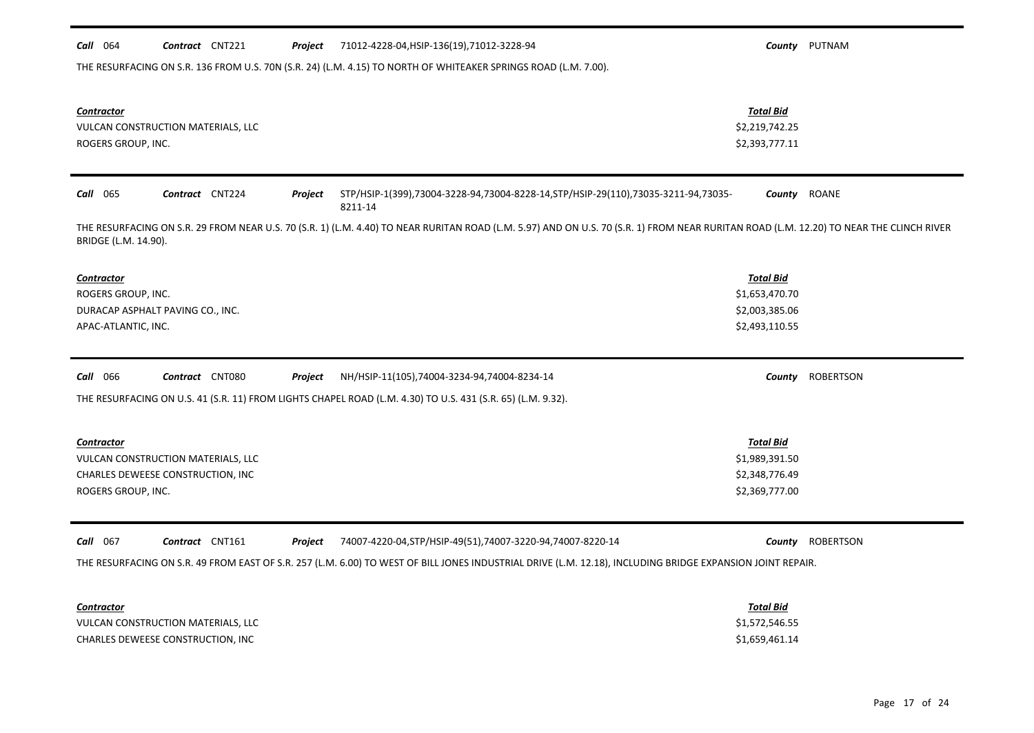| $Call$ 064                                                     | Contract CNT221                                                         | Project | 71012-4228-04, HSIP-136(19), 71012-3228-94                                                                                                                                                                                 |                                                                        | County PUTNAM    |
|----------------------------------------------------------------|-------------------------------------------------------------------------|---------|----------------------------------------------------------------------------------------------------------------------------------------------------------------------------------------------------------------------------|------------------------------------------------------------------------|------------------|
|                                                                |                                                                         |         | THE RESURFACING ON S.R. 136 FROM U.S. 70N (S.R. 24) (L.M. 4.15) TO NORTH OF WHITEAKER SPRINGS ROAD (L.M. 7.00).                                                                                                            |                                                                        |                  |
| <b>Contractor</b><br>ROGERS GROUP, INC.                        | VULCAN CONSTRUCTION MATERIALS, LLC                                      |         |                                                                                                                                                                                                                            | <b>Total Bid</b><br>\$2,219,742.25<br>\$2,393,777.11                   |                  |
| Call 065                                                       | Contract CNT224                                                         | Project | STP/HSIP-1(399),73004-3228-94,73004-8228-14,STP/HSIP-29(110),73035-3211-94,73035-<br>8211-14                                                                                                                               |                                                                        | County ROANE     |
| BRIDGE (L.M. 14.90).                                           |                                                                         |         | THE RESURFACING ON S.R. 29 FROM NEAR U.S. 70 (S.R. 1) (L.M. 4.40) TO NEAR RURITAN ROAD (L.M. 5.97) AND ON U.S. 70 (S.R. 1) FROM NEAR RURITAN ROAD (L.M. 12.20) TO NEAR THE CLINCH RIVER                                    |                                                                        |                  |
| <b>Contractor</b><br>ROGERS GROUP, INC.<br>APAC-ATLANTIC, INC. | DURACAP ASPHALT PAVING CO., INC.                                        |         |                                                                                                                                                                                                                            | <b>Total Bid</b><br>\$1,653,470.70<br>\$2,003,385.06<br>\$2,493,110.55 |                  |
| <b>Call</b> 066                                                | Contract CNT080                                                         | Project | NH/HSIP-11(105),74004-3234-94,74004-8234-14<br>THE RESURFACING ON U.S. 41 (S.R. 11) FROM LIGHTS CHAPEL ROAD (L.M. 4.30) TO U.S. 431 (S.R. 65) (L.M. 9.32).                                                                 |                                                                        | County ROBERTSON |
| <b>Contractor</b><br>ROGERS GROUP, INC.                        | VULCAN CONSTRUCTION MATERIALS, LLC<br>CHARLES DEWEESE CONSTRUCTION, INC |         |                                                                                                                                                                                                                            | <b>Total Bid</b><br>\$1,989,391.50<br>\$2,348,776.49<br>\$2,369,777.00 |                  |
| Call 067                                                       | Contract CNT161                                                         | Project | 74007-4220-04, STP/HSIP-49(51), 74007-3220-94, 74007-8220-14<br>THE RESURFACING ON S.R. 49 FROM EAST OF S.R. 257 (L.M. 6.00) TO WEST OF BILL JONES INDUSTRIAL DRIVE (L.M. 12.18), INCLUDING BRIDGE EXPANSION JOINT REPAIR. |                                                                        | County ROBERTSON |
|                                                                |                                                                         |         |                                                                                                                                                                                                                            |                                                                        |                  |

| <b>Contractor</b>                  | <b>Total Bid</b> |
|------------------------------------|------------------|
| VULCAN CONSTRUCTION MATERIALS, LLC | \$1,572,546.55   |
| CHARLES DEWEESE CONSTRUCTION, INC  | \$1,659,461.14   |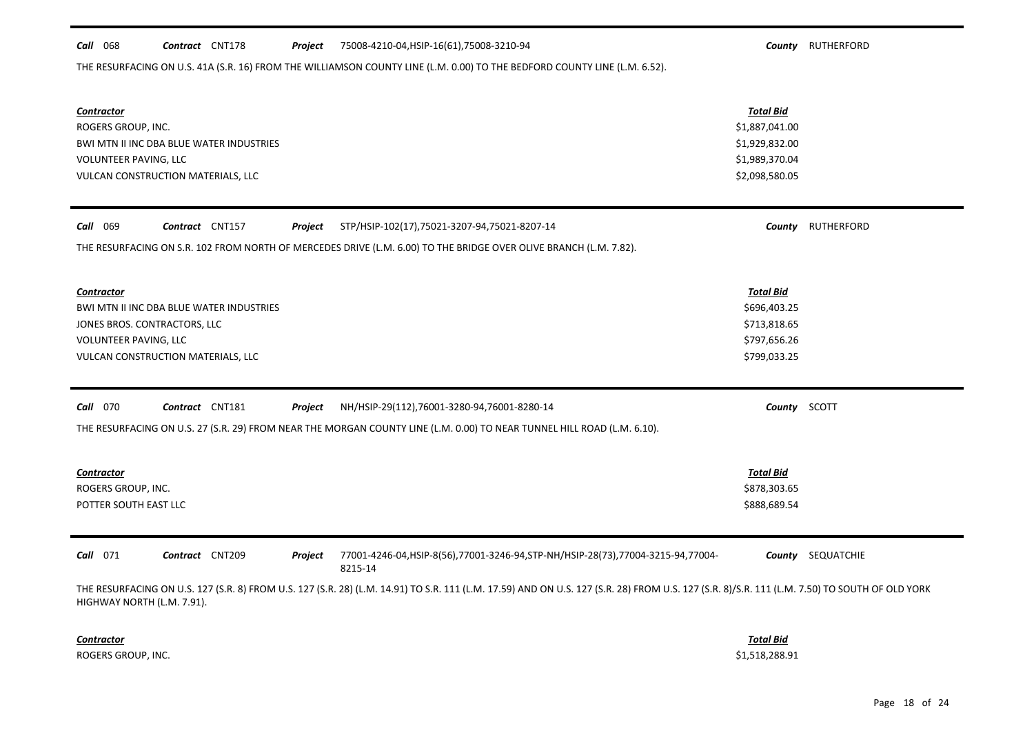#### *Call* 068 *Contract* CNT178 *Project County* RUTHERFORD 75008-4210-04,HSIP-16(61),75008-3210-94

THE RESURFACING ON U.S. 41A (S.R. 16) FROM THE WILLIAMSON COUNTY LINE (L.M. 0.00) TO THE BEDFORD COUNTY LINE (L.M. 6.52).

| <b>Contractor</b><br>ROGERS GROUP, INC.<br>BWI MTN II INC DBA BLUE WATER INDUSTRIES<br>VOLUNTEER PAVING, LLC<br>VULCAN CONSTRUCTION MATERIALS, LLC                                                                          | <b>Total Bid</b><br>\$1,887,041.00<br>\$1,929,832.00<br>\$1,989,370.04<br>\$2,098,580.05 |                          |  |  |  |
|-----------------------------------------------------------------------------------------------------------------------------------------------------------------------------------------------------------------------------|------------------------------------------------------------------------------------------|--------------------------|--|--|--|
| Call 069<br>Contract CNT157<br>Project<br>STP/HSIP-102(17),75021-3207-94,75021-8207-14                                                                                                                                      |                                                                                          | County RUTHERFORD        |  |  |  |
| THE RESURFACING ON S.R. 102 FROM NORTH OF MERCEDES DRIVE (L.M. 6.00) TO THE BRIDGE OVER OLIVE BRANCH (L.M. 7.82).                                                                                                           |                                                                                          |                          |  |  |  |
| <b>Contractor</b><br>BWI MTN II INC DBA BLUE WATER INDUSTRIES<br>JONES BROS. CONTRACTORS, LLC<br>VOLUNTEER PAVING, LLC<br>VULCAN CONSTRUCTION MATERIALS, LLC                                                                | <b>Total Bid</b><br>\$696,403.25<br>\$713,818.65<br>\$797,656.26<br>\$799,033.25         |                          |  |  |  |
| <b>Call</b> 070<br>Contract CNT181<br>Project<br>NH/HSIP-29(112),76001-3280-94,76001-8280-14                                                                                                                                | County SCOTT                                                                             |                          |  |  |  |
| THE RESURFACING ON U.S. 27 (S.R. 29) FROM NEAR THE MORGAN COUNTY LINE (L.M. 0.00) TO NEAR TUNNEL HILL ROAD (L.M. 6.10).                                                                                                     |                                                                                          |                          |  |  |  |
| <b>Contractor</b><br>ROGERS GROUP, INC.<br>POTTER SOUTH EAST LLC                                                                                                                                                            | <b>Total Bid</b><br>\$878,303.65<br>\$888,689.54                                         |                          |  |  |  |
| Contract CNT209<br>77001-4246-04, HSIP-8(56), 77001-3246-94, STP-NH/HSIP-28(73), 77004-3215-94, 77004-<br>$Call$ 071<br>Project<br>8215-14                                                                                  |                                                                                          | <b>County</b> SEQUATCHIE |  |  |  |
|                                                                                                                                                                                                                             |                                                                                          |                          |  |  |  |
| THE RESURFACING ON U.S. 127 (S.R. 8) FROM U.S. 127 (S.R. 28) (L.M. 14.91) TO S.R. 111 (L.M. 17.59) AND ON U.S. 127 (S.R. 28) FROM U.S. 127 (S.R. 8)/S.R. 111 (L.M. 7.50) TO SOUTH OF OLD YORK<br>HIGHWAY NORTH (L.M. 7.91). |                                                                                          |                          |  |  |  |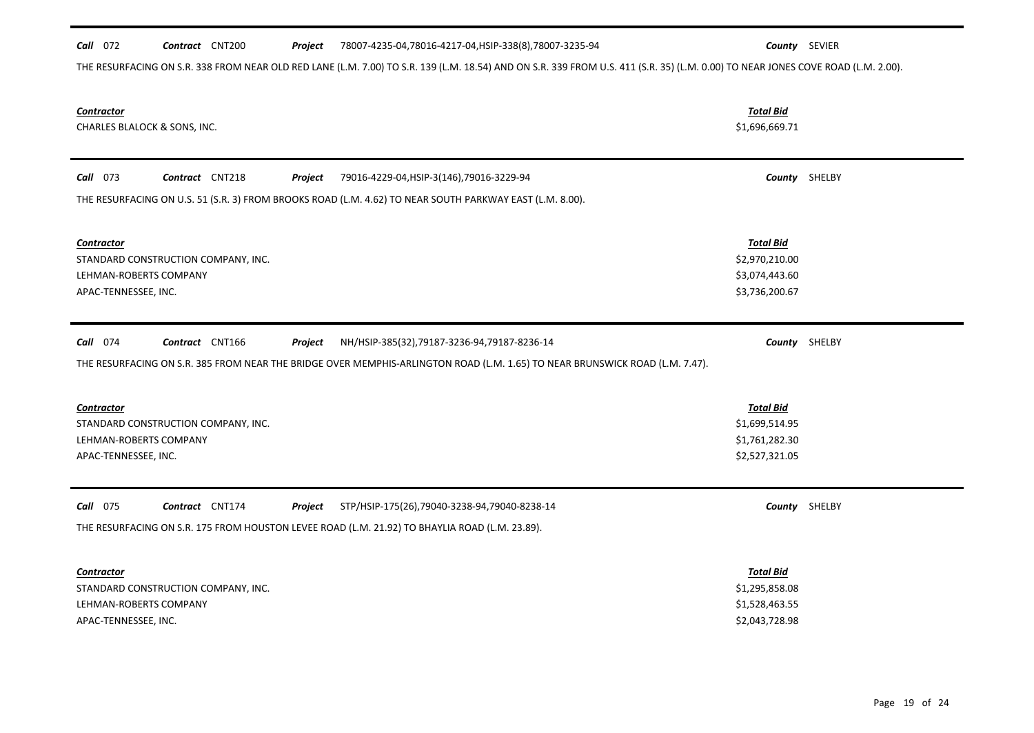#### *Call* 072 *Contract* CNT200 *Project County* SEVIER 78007-4235-04,78016-4217-04,HSIP-338(8),78007-3235-94

THE RESURFACING ON S.R. 338 FROM NEAR OLD RED LANE (L.M. 7.00) TO S.R. 139 (L.M. 18.54) AND ON S.R. 339 FROM U.S. 411 (S.R. 35) (L.M. 0.00) TO NEAR JONES COVE ROAD (L.M. 2.00).

| <b>Contractor</b><br>CHARLES BLALOCK & SONS, INC.                                                                            | <b>Total Bid</b><br>\$1,696,669.71                                     |               |
|------------------------------------------------------------------------------------------------------------------------------|------------------------------------------------------------------------|---------------|
| Call 073<br>Contract CNT218<br>79016-4229-04, HSIP-3(146), 79016-3229-94<br>Project                                          |                                                                        | County SHELBY |
| THE RESURFACING ON U.S. 51 (S.R. 3) FROM BROOKS ROAD (L.M. 4.62) TO NEAR SOUTH PARKWAY EAST (L.M. 8.00).                     |                                                                        |               |
| Contractor<br>STANDARD CONSTRUCTION COMPANY, INC.<br>LEHMAN-ROBERTS COMPANY<br>APAC-TENNESSEE, INC.                          | <b>Total Bid</b><br>\$2,970,210.00<br>\$3,074,443.60<br>\$3,736,200.67 |               |
| <b>Call</b> 074<br>Contract CNT166<br>Project<br>NH/HSIP-385(32),79187-3236-94,79187-8236-14                                 |                                                                        | County SHELBY |
| THE RESURFACING ON S.R. 385 FROM NEAR THE BRIDGE OVER MEMPHIS-ARLINGTON ROAD (L.M. 1.65) TO NEAR BRUNSWICK ROAD (L.M. 7.47). |                                                                        |               |
| <b>Contractor</b><br>STANDARD CONSTRUCTION COMPANY, INC.<br>LEHMAN-ROBERTS COMPANY<br>APAC-TENNESSEE, INC.                   | <b>Total Bid</b><br>\$1,699,514.95<br>\$1,761,282.30<br>\$2,527,321.05 |               |
| <b>Call</b> 075<br>Contract CNT174<br>Project<br>STP/HSIP-175(26),79040-3238-94,79040-8238-14                                |                                                                        | County SHELBY |
| THE RESURFACING ON S.R. 175 FROM HOUSTON LEVEE ROAD (L.M. 21.92) TO BHAYLIA ROAD (L.M. 23.89).                               |                                                                        |               |
| <b>Contractor</b><br>STANDARD CONSTRUCTION COMPANY, INC.<br>LEHMAN-ROBERTS COMPANY<br>APAC-TENNESSEE, INC.                   | <b>Total Bid</b><br>\$1,295,858.08<br>\$1,528,463.55<br>\$2,043,728.98 |               |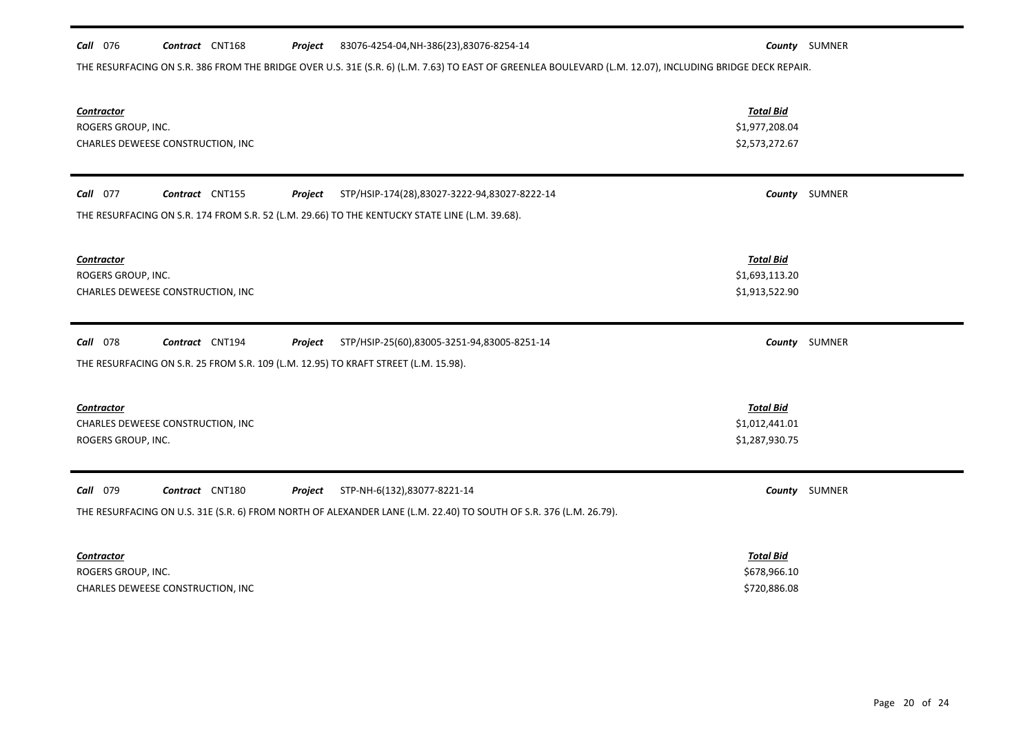#### *Call* 076 *Contract* CNT168 *Project County* SUMNER 83076-4254-04,NH-386(23),83076-8254-14

THE RESURFACING ON S.R. 386 FROM THE BRIDGE OVER U.S. 31E (S.R. 6) (L.M. 7.63) TO EAST OF GREENLEA BOULEVARD (L.M. 12.07), INCLUDING BRIDGE DECK REPAIR.

| <b>Contractor</b><br>ROGERS GROUP, INC.<br>CHARLES DEWEESE CONSTRUCTION, INC                                                                                                                  | <b>Total Bid</b><br>\$1,977,208.04<br>\$2,573,272.67 |               |
|-----------------------------------------------------------------------------------------------------------------------------------------------------------------------------------------------|------------------------------------------------------|---------------|
| Call 077<br>Contract CNT155<br>STP/HSIP-174(28),83027-3222-94,83027-8222-14<br>Project<br>THE RESURFACING ON S.R. 174 FROM S.R. 52 (L.M. 29.66) TO THE KENTUCKY STATE LINE (L.M. 39.68).      |                                                      | County SUMNER |
| <b>Contractor</b><br>ROGERS GROUP, INC.<br>CHARLES DEWEESE CONSTRUCTION, INC                                                                                                                  | <b>Total Bid</b><br>\$1,693,113.20<br>\$1,913,522.90 |               |
| <b>Call</b> 078<br>Contract CNT194<br>Project<br>STP/HSIP-25(60),83005-3251-94,83005-8251-14<br>THE RESURFACING ON S.R. 25 FROM S.R. 109 (L.M. 12.95) TO KRAFT STREET (L.M. 15.98).           |                                                      | County SUMNER |
| <b>Contractor</b><br>CHARLES DEWEESE CONSTRUCTION, INC<br>ROGERS GROUP, INC.                                                                                                                  | <b>Total Bid</b><br>\$1,012,441.01<br>\$1,287,930.75 |               |
| Call<br>079<br>Contract CNT180<br>Project<br>STP-NH-6(132),83077-8221-14<br>THE RESURFACING ON U.S. 31E (S.R. 6) FROM NORTH OF ALEXANDER LANE (L.M. 22.40) TO SOUTH OF S.R. 376 (L.M. 26.79). |                                                      | County SUMNER |
| <b>Contractor</b><br>ROGERS GROUP, INC.<br>CHARLES DEWEESE CONSTRUCTION, INC                                                                                                                  | <b>Total Bid</b><br>\$678,966.10<br>\$720,886.08     |               |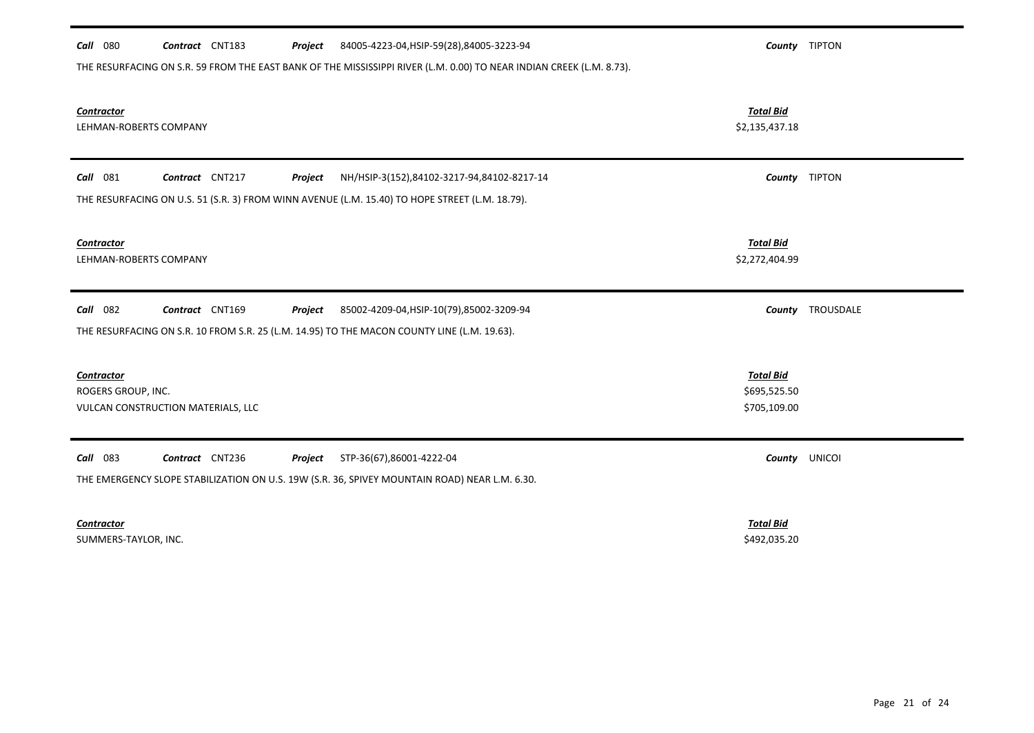| 84005-4223-04, HSIP-59(28), 84005-3223-94<br><b>Call</b> 080<br>Contract CNT183<br>Project<br>THE RESURFACING ON S.R. 59 FROM THE EAST BANK OF THE MISSISSIPPI RIVER (L.M. 0.00) TO NEAR INDIAN CREEK (L.M. 8.73). |                                                  | County TIPTON    |
|--------------------------------------------------------------------------------------------------------------------------------------------------------------------------------------------------------------------|--------------------------------------------------|------------------|
| Contractor<br>LEHMAN-ROBERTS COMPANY                                                                                                                                                                               | <b>Total Bid</b><br>\$2,135,437.18               |                  |
| <b>Call</b> 081<br>Contract CNT217<br>NH/HSIP-3(152),84102-3217-94,84102-8217-14<br>Project<br>THE RESURFACING ON U.S. 51 (S.R. 3) FROM WINN AVENUE (L.M. 15.40) TO HOPE STREET (L.M. 18.79).                      |                                                  | County TIPTON    |
| <b>Contractor</b><br>LEHMAN-ROBERTS COMPANY                                                                                                                                                                        | <b>Total Bid</b><br>\$2,272,404.99               |                  |
| <b>Call</b> 082<br>Contract CNT169<br>85002-4209-04, HSIP-10(79), 85002-3209-94<br>Project<br>THE RESURFACING ON S.R. 10 FROM S.R. 25 (L.M. 14.95) TO THE MACON COUNTY LINE (L.M. 19.63).                          |                                                  | County TROUSDALE |
| <b>Contractor</b><br>ROGERS GROUP, INC.<br>VULCAN CONSTRUCTION MATERIALS, LLC                                                                                                                                      | <b>Total Bid</b><br>\$695,525.50<br>\$705,109.00 |                  |
| Call 083<br>Contract CNT236<br>STP-36(67),86001-4222-04<br>Project<br>THE EMERGENCY SLOPE STABILIZATION ON U.S. 19W (S.R. 36, SPIVEY MOUNTAIN ROAD) NEAR L.M. 6.30.                                                | County                                           | <b>UNICOI</b>    |
| <b>Contractor</b>                                                                                                                                                                                                  | <b>Total Bid</b>                                 |                  |

SUMMERS-TAYLOR, INC. \$492,035.20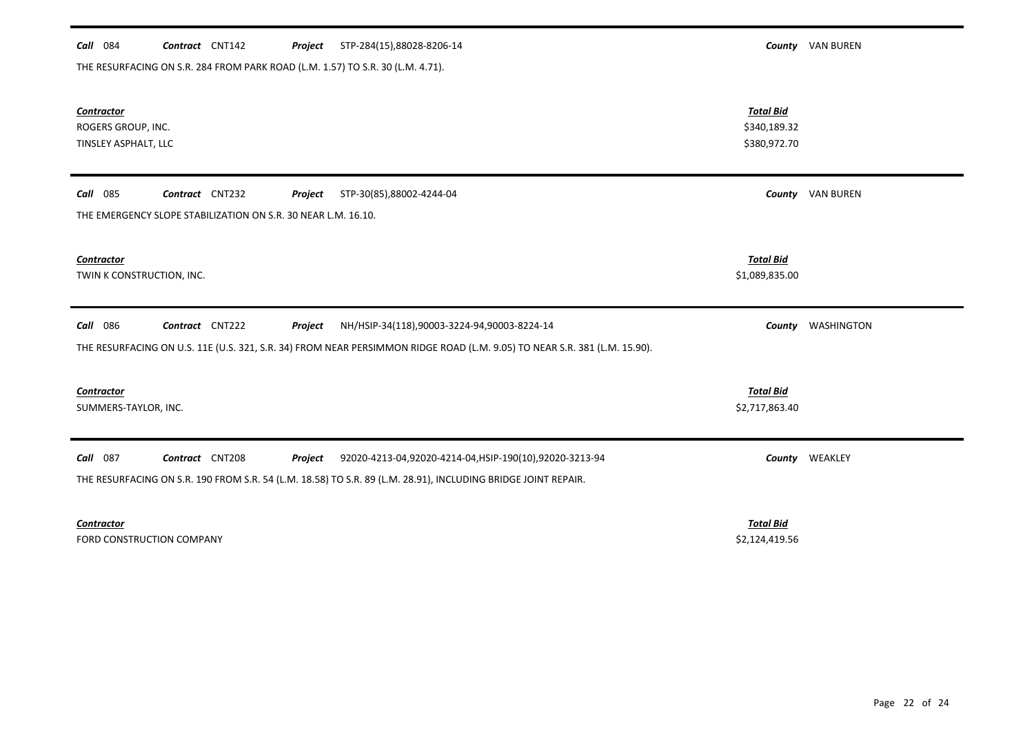| Call 084                  | Contract CNT142                                                                | Project | STP-284(15),88028-8206-14                                                                                                 |                  | County VAN BUREN        |
|---------------------------|--------------------------------------------------------------------------------|---------|---------------------------------------------------------------------------------------------------------------------------|------------------|-------------------------|
|                           | THE RESURFACING ON S.R. 284 FROM PARK ROAD (L.M. 1.57) TO S.R. 30 (L.M. 4.71). |         |                                                                                                                           |                  |                         |
|                           |                                                                                |         |                                                                                                                           |                  |                         |
| <b>Contractor</b>         |                                                                                |         |                                                                                                                           | <b>Total Bid</b> |                         |
| ROGERS GROUP, INC.        |                                                                                |         |                                                                                                                           | \$340,189.32     |                         |
| TINSLEY ASPHALT, LLC      |                                                                                |         |                                                                                                                           | \$380,972.70     |                         |
|                           |                                                                                |         |                                                                                                                           |                  |                         |
| <b>Call</b> 085           | Contract CNT232                                                                | Project | STP-30(85),88002-4244-04                                                                                                  |                  | <b>County</b> VAN BUREN |
|                           | THE EMERGENCY SLOPE STABILIZATION ON S.R. 30 NEAR L.M. 16.10.                  |         |                                                                                                                           |                  |                         |
|                           |                                                                                |         |                                                                                                                           |                  |                         |
| Contractor                |                                                                                |         |                                                                                                                           | <b>Total Bid</b> |                         |
| TWIN K CONSTRUCTION, INC. |                                                                                |         |                                                                                                                           | \$1,089,835.00   |                         |
|                           |                                                                                |         |                                                                                                                           |                  |                         |
| Call 086                  | Contract CNT222                                                                | Project | NH/HSIP-34(118),90003-3224-94,90003-8224-14                                                                               |                  | County WASHINGTON       |
|                           |                                                                                |         | THE RESURFACING ON U.S. 11E (U.S. 321, S.R. 34) FROM NEAR PERSIMMON RIDGE ROAD (L.M. 9.05) TO NEAR S.R. 381 (L.M. 15.90). |                  |                         |
|                           |                                                                                |         |                                                                                                                           |                  |                         |
| <b>Contractor</b>         |                                                                                |         |                                                                                                                           | <b>Total Bid</b> |                         |
| SUMMERS-TAYLOR, INC.      |                                                                                |         |                                                                                                                           | \$2,717,863.40   |                         |
|                           |                                                                                |         |                                                                                                                           |                  |                         |
| Call 087                  | Contract CNT208                                                                | Project | 92020-4213-04,92020-4214-04,HSIP-190(10),92020-3213-94                                                                    |                  | County WEAKLEY          |
|                           |                                                                                |         | THE RESURFACING ON S.R. 190 FROM S.R. 54 (L.M. 18.58) TO S.R. 89 (L.M. 28.91), INCLUDING BRIDGE JOINT REPAIR.             |                  |                         |
|                           |                                                                                |         |                                                                                                                           |                  |                         |
| <b>Contractor</b>         |                                                                                |         |                                                                                                                           | <b>Total Bid</b> |                         |
|                           |                                                                                |         |                                                                                                                           |                  |                         |

FORD CONSTRUCTION COMPANY SALES AND THE SERVICE OF SALES AND STRUCTION COMPANY SALES SALES SALES SALES AND SALES SALES SALES SALES SALES SALES SALES SALES SALES SALES SALES SALES SALES SALES SALES SALES SALES SALES SALES S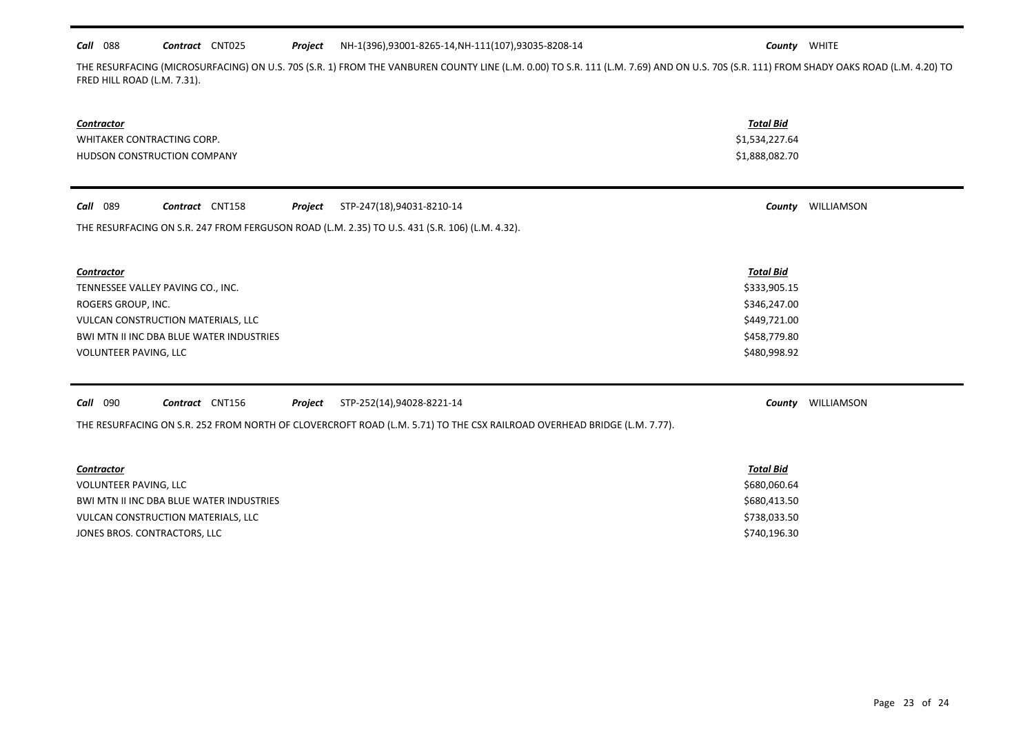#### *Call* 088 *Contract* CNT025 *Project County* WHITE NH-1(396),93001-8265-14,NH-111(107),93035-8208-14

THE RESURFACING (MICROSURFACING) ON U.S. 70S (S.R. 1) FROM THE VANBUREN COUNTY LINE (L.M. 0.00) TO S.R. 111 (L.M. 7.69) AND ON U.S. 70S (S.R. 111) FROM SHADY OAKS ROAD (L.M. 4.20) TO FRED HILL ROAD (L.M. 7.31).

| Contractor<br>WHITAKER CONTRACTING CORP.<br>HUDSON CONSTRUCTION COMPANY                                                                                                                 | <b>Total Bid</b><br>\$1,534,227.64<br>\$1,888,082.70                                             |                          |
|-----------------------------------------------------------------------------------------------------------------------------------------------------------------------------------------|--------------------------------------------------------------------------------------------------|--------------------------|
| Call 089<br>Contract CNT158<br>STP-247(18),94031-8210-14<br>Project                                                                                                                     |                                                                                                  | <b>County WILLIAMSON</b> |
| THE RESURFACING ON S.R. 247 FROM FERGUSON ROAD (L.M. 2.35) TO U.S. 431 (S.R. 106) (L.M. 4.32).                                                                                          |                                                                                                  |                          |
| Contractor<br>TENNESSEE VALLEY PAVING CO., INC.<br>ROGERS GROUP, INC.<br>VULCAN CONSTRUCTION MATERIALS, LLC<br>BWI MTN II INC DBA BLUE WATER INDUSTRIES<br><b>VOLUNTEER PAVING, LLC</b> | <b>Total Bid</b><br>\$333,905.15<br>\$346,247.00<br>\$449,721.00<br>\$458,779.80<br>\$480,998.92 |                          |
| Call 090<br>Contract CNT156<br>STP-252(14),94028-8221-14<br>Project                                                                                                                     |                                                                                                  | <b>County WILLIAMSON</b> |
| THE RESURFACING ON S.R. 252 FROM NORTH OF CLOVERCROFT ROAD (L.M. 5.71) TO THE CSX RAILROAD OVERHEAD BRIDGE (L.M. 7.77).                                                                 |                                                                                                  |                          |
| <b>Contractor</b>                                                                                                                                                                       | <b>Total Bid</b>                                                                                 |                          |
| VOLUNTEER PAVING, LLC                                                                                                                                                                   | \$680,060.64                                                                                     |                          |
| BWI MTN II INC DBA BLUE WATER INDUSTRIES                                                                                                                                                | \$680,413.50                                                                                     |                          |
| VULCAN CONSTRUCTION MATERIALS, LLC                                                                                                                                                      | \$738,033.50                                                                                     |                          |
| JONES BROS. CONTRACTORS, LLC                                                                                                                                                            | \$740,196.30                                                                                     |                          |